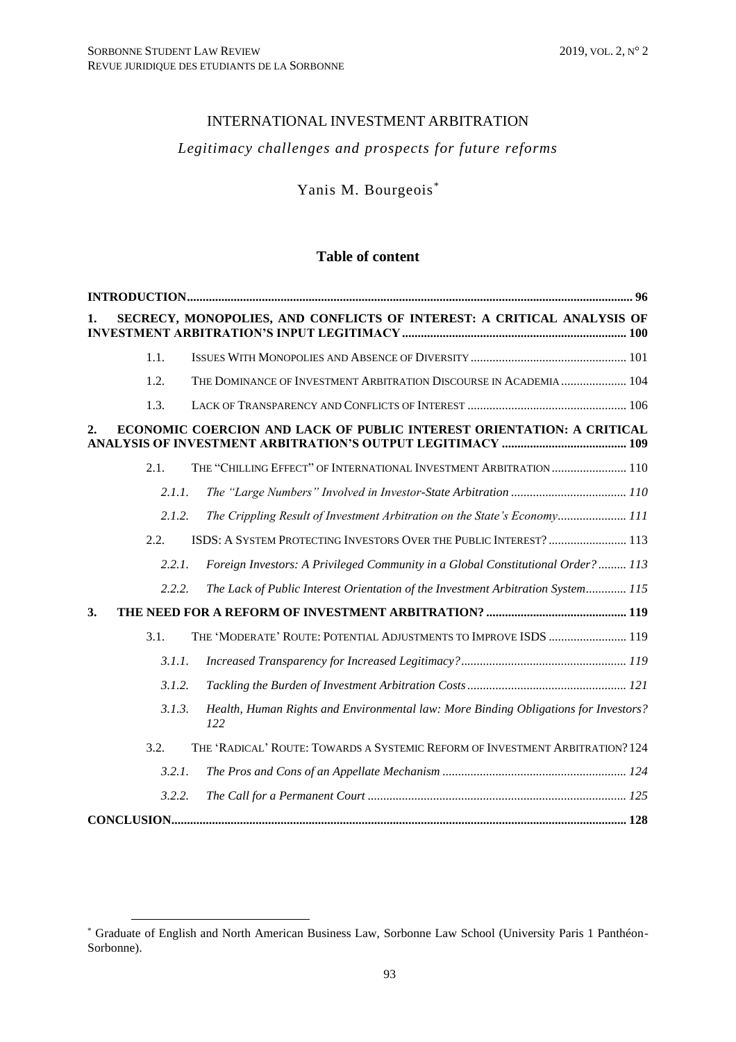# INTERNATIONAL INVESTMENT ARBITRATION

# *Legitimacy challenges and prospects for future reforms*

Yanis M. Bourgeois\*

# **Table of content**

|                   | SECRECY, MONOPOLIES, AND CONFLICTS OF INTEREST: A CRITICAL ANALYSIS OF                     |  |
|-------------------|--------------------------------------------------------------------------------------------|--|
| 1.1.              |                                                                                            |  |
| 1.2.              | THE DOMINANCE OF INVESTMENT ARBITRATION DISCOURSE IN ACADEMIA  104                         |  |
| 1.3.              |                                                                                            |  |
|                   | ECONOMIC COERCION AND LACK OF PUBLIC INTEREST ORIENTATION: A CRITICAL                      |  |
| 2.1.              | THE "CHILLING EFFECT" OF INTERNATIONAL INVESTMENT ARBITRATION  110                         |  |
| 2.1.1.            |                                                                                            |  |
| 2.1.2.            | The Crippling Result of Investment Arbitration on the State's Economy 111                  |  |
| 2.2.              | ISDS: A SYSTEM PROTECTING INVESTORS OVER THE PUBLIC INTEREST?  113                         |  |
| 2.2.1.            | Foreign Investors: A Privileged Community in a Global Constitutional Order?  113           |  |
| 2.2.2.            | The Lack of Public Interest Orientation of the Investment Arbitration System 115           |  |
| 3.                |                                                                                            |  |
| 3.1.              | THE 'MODERATE' ROUTE: POTENTIAL ADJUSTMENTS TO IMPROVE ISDS  119                           |  |
| 3.1.1.            |                                                                                            |  |
| 3.1.2.            |                                                                                            |  |
| 3.1.3.            | Health, Human Rights and Environmental law: More Binding Obligations for Investors?<br>122 |  |
| 3.2.              | THE 'RADICAL' ROUTE: TOWARDS A SYSTEMIC REFORM OF INVESTMENT ARBITRATION? 124              |  |
| 3.2.1.            |                                                                                            |  |
| 3.2.2.            |                                                                                            |  |
| <b>CONCLUSION</b> |                                                                                            |  |

<sup>\*</sup> Graduate of English and North American Business Law, Sorbonne Law School (University Paris 1 Panthéon-Sorbonne).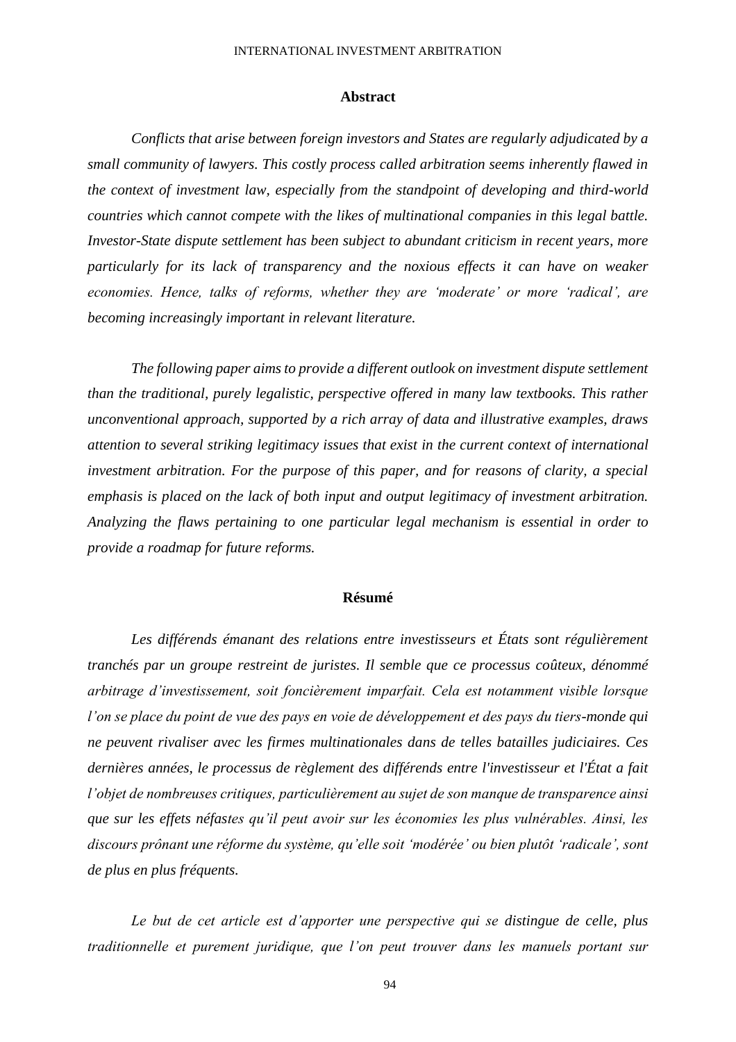#### INTERNATIONAL INVESTMENT ARBITRATION

#### **Abstract**

*Conflicts that arise between foreign investors and States are regularly adjudicated by a small community of lawyers. This costly process called arbitration seems inherently flawed in the context of investment law, especially from the standpoint of developing and third-world countries which cannot compete with the likes of multinational companies in this legal battle. Investor-State dispute settlement has been subject to abundant criticism in recent years, more particularly for its lack of transparency and the noxious effects it can have on weaker economies. Hence, talks of reforms, whether they are 'moderate' or more 'radical', are becoming increasingly important in relevant literature.*

*The following paper aims to provide a different outlook on investment dispute settlement than the traditional, purely legalistic, perspective offered in many law textbooks. This rather unconventional approach, supported by a rich array of data and illustrative examples, draws attention to several striking legitimacy issues that exist in the current context of international investment arbitration. For the purpose of this paper, and for reasons of clarity, a special emphasis is placed on the lack of both input and output legitimacy of investment arbitration. Analyzing the flaws pertaining to one particular legal mechanism is essential in order to provide a roadmap for future reforms.*

#### **Résumé**

Les différends émanant des relations entre investisseurs et États sont régulièrement *tranchés par un groupe restreint de juristes. Il semble que ce processus coûteux, dénommé arbitrage d'investissement, soit foncièrement imparfait. Cela est notamment visible lorsque l'on se place du point de vue des pays en voie de développement et des pays du tiers-monde qui ne peuvent rivaliser avec les firmes multinationales dans de telles batailles judiciaires. Ces dernières années, le processus de règlement des différends entre l'investisseur et l'État a fait l'objet de nombreuses critiques, particulièrement au sujet de son manque de transparence ainsi que sur les effets néfastes qu'il peut avoir sur les économies les plus vulnérables. Ainsi, les discours prônant une réforme du système, qu'elle soit 'modérée' ou bien plutôt 'radicale', sont de plus en plus fréquents.* 

*Le but de cet article est d'apporter une perspective qui se distingue de celle, plus traditionnelle et purement juridique, que l'on peut trouver dans les manuels portant sur*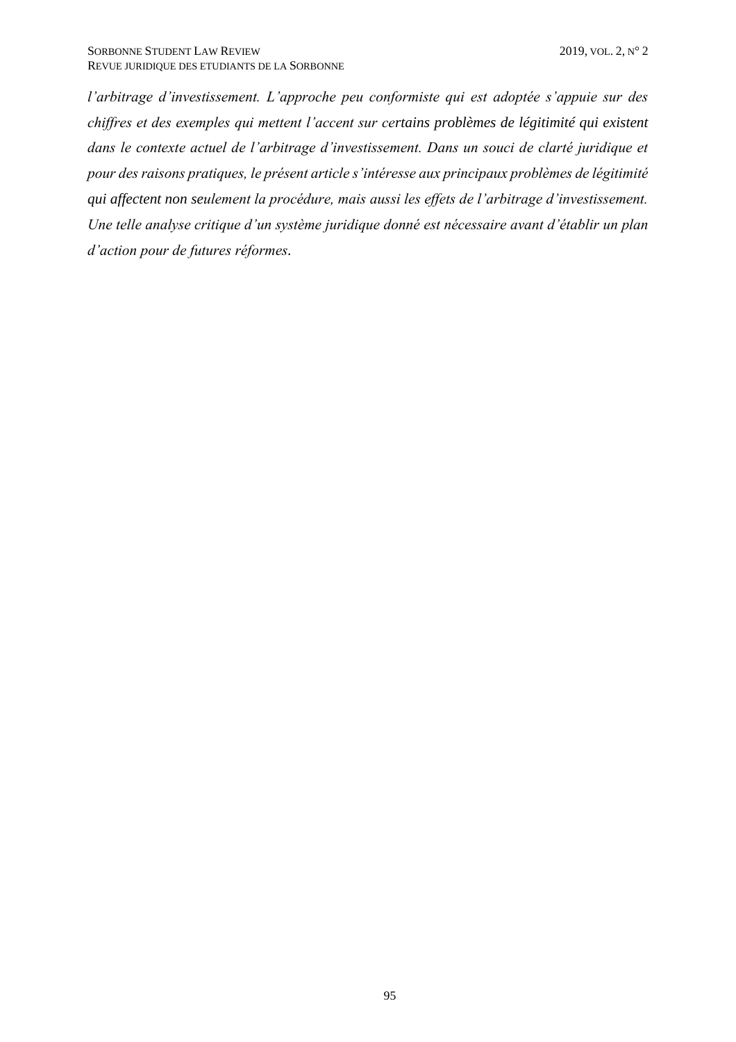*l'arbitrage d'investissement. L'approche peu conformiste qui est adoptée s'appuie sur des chiffres et des exemples qui mettent l'accent sur certains problèmes de légitimité qui existent dans le contexte actuel de l'arbitrage d'investissement. Dans un souci de clarté juridique et pour des raisons pratiques, le présent article s'intéresse aux principaux problèmes de légitimité qui affectent non seulement la procédure, mais aussi les effets de l'arbitrage d'investissement. Une telle analyse critique d'un système juridique donné est nécessaire avant d'établir un plan d'action pour de futures réformes.*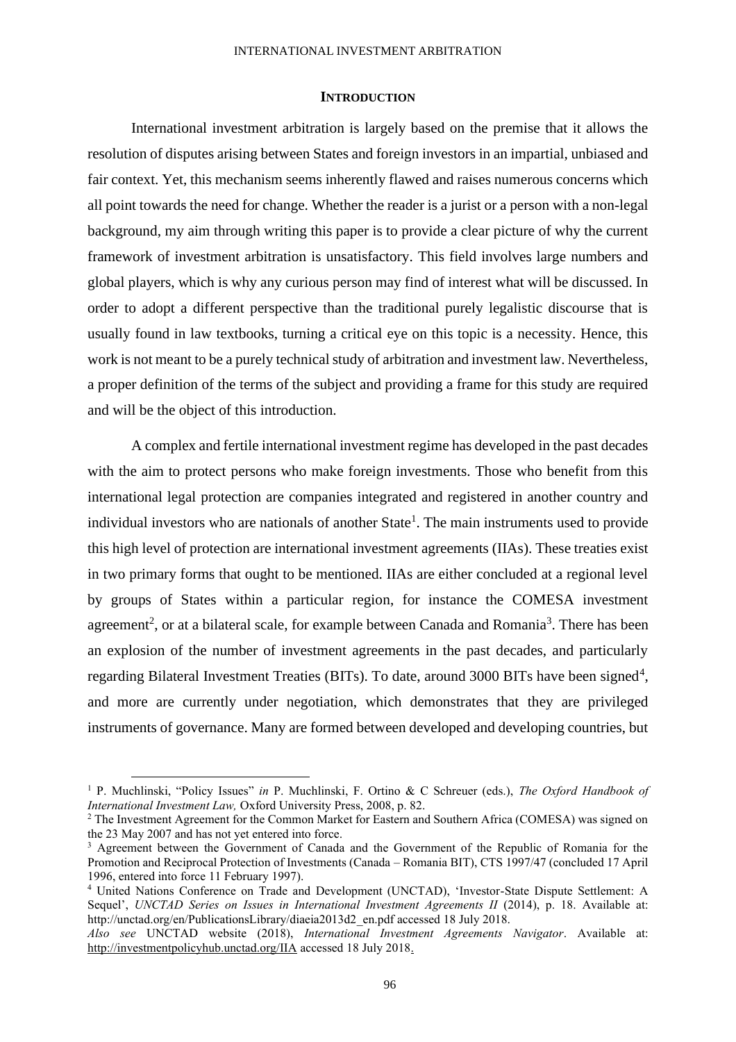#### INTERNATIONAL INVESTMENT ARBITRATION

#### **INTRODUCTION**

<span id="page-3-0"></span>International investment arbitration is largely based on the premise that it allows the resolution of disputes arising between States and foreign investors in an impartial, unbiased and fair context. Yet, this mechanism seems inherently flawed and raises numerous concerns which all point towards the need for change. Whether the reader is a jurist or a person with a non-legal background, my aim through writing this paper is to provide a clear picture of why the current framework of investment arbitration is unsatisfactory. This field involves large numbers and global players, which is why any curious person may find of interest what will be discussed. In order to adopt a different perspective than the traditional purely legalistic discourse that is usually found in law textbooks, turning a critical eye on this topic is a necessity. Hence, this work is not meant to be a purely technical study of arbitration and investment law. Nevertheless, a proper definition of the terms of the subject and providing a frame for this study are required and will be the object of this introduction.

A complex and fertile international investment regime has developed in the past decades with the aim to protect persons who make foreign investments. Those who benefit from this international legal protection are companies integrated and registered in another country and individual investors who are nationals of another State<sup>1</sup>. The main instruments used to provide this high level of protection are international investment agreements (IIAs). These treaties exist in two primary forms that ought to be mentioned. IIAs are either concluded at a regional level by groups of States within a particular region, for instance the COMESA investment agreement<sup>2</sup>, or at a bilateral scale, for example between Canada and Romania<sup>3</sup>. There has been an explosion of the number of investment agreements in the past decades, and particularly regarding Bilateral Investment Treaties (BITs). To date, around 3000 BITs have been signed<sup>4</sup>, and more are currently under negotiation, which demonstrates that they are privileged instruments of governance. Many are formed between developed and developing countries, but

<sup>1</sup> P. Muchlinski, "Policy Issues" *in* P. Muchlinski, F. Ortino & C Schreuer (eds.), *The Oxford Handbook of International Investment Law,* Oxford University Press, 2008, p. 82.

<sup>2</sup> The Investment Agreement for the Common Market for Eastern and Southern Africa (COMESA) was signed on the 23 May 2007 and has not yet entered into force.

<sup>&</sup>lt;sup>3</sup> Agreement between the Government of Canada and the Government of the Republic of Romania for the Promotion and Reciprocal Protection of Investments (Canada – Romania BIT), CTS 1997/47 (concluded 17 April 1996, entered into force 11 February 1997).

<sup>4</sup> United Nations Conference on Trade and Development (UNCTAD), 'Investor-State Dispute Settlement: A Sequel', *UNCTAD Series on Issues in International Investment Agreements II* (2014), p. 18. Available at: http://unctad.org/en/PublicationsLibrary/diaeia2013d2\_en.pdf accessed 18 July 2018.

*Also see* UNCTAD website (2018), *International Investment Agreements Navigator*. Available at: <http://investmentpolicyhub.unctad.org/IIA> accessed 18 July 2018.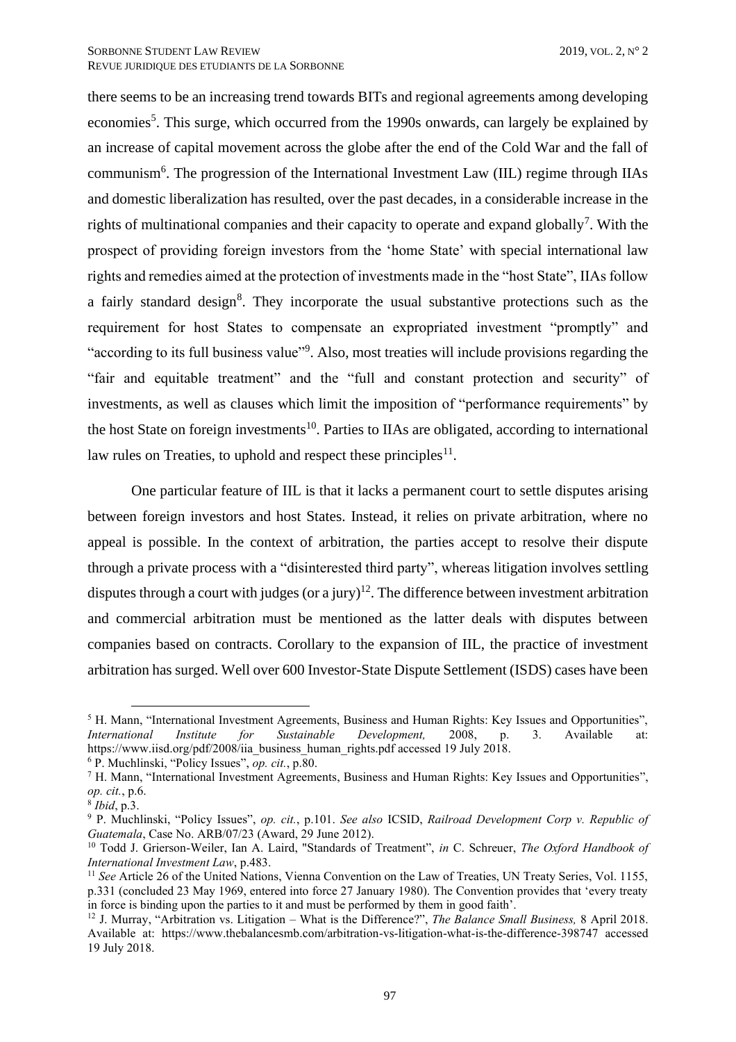there seems to be an increasing trend towards BITs and regional agreements among developing economies<sup>5</sup>. This surge, which occurred from the 1990s onwards, can largely be explained by an increase of capital movement across the globe after the end of the Cold War and the fall of communism<sup>6</sup>. The progression of the International Investment Law (IIL) regime through IIAs and domestic liberalization has resulted, over the past decades, in a considerable increase in the rights of multinational companies and their capacity to operate and expand globally<sup>7</sup>. With the prospect of providing foreign investors from the 'home State' with special international law rights and remedies aimed at the protection of investments made in the "host State", IIAs follow a fairly standard design<sup>8</sup>. They incorporate the usual substantive protections such as the requirement for host States to compensate an expropriated investment "promptly" and "according to its full business value"<sup>9</sup>. Also, most treaties will include provisions regarding the "fair and equitable treatment" and the "full and constant protection and security" of investments, as well as clauses which limit the imposition of "performance requirements" by the host State on foreign investments<sup>10</sup>. Parties to IIAs are obligated, according to international law rules on Treaties, to uphold and respect these principles $11$ .

One particular feature of IIL is that it lacks a permanent court to settle disputes arising between foreign investors and host States. Instead, it relies on private arbitration, where no appeal is possible. In the context of arbitration, the parties accept to resolve their dispute through a private process with a "disinterested third party", whereas litigation involves settling disputes through a court with judges (or a jury)<sup>12</sup>. The difference between investment arbitration and commercial arbitration must be mentioned as the latter deals with disputes between companies based on contracts. Corollary to the expansion of IIL, the practice of investment arbitration has surged. Well over 600 Investor-State Dispute Settlement (ISDS) cases have been

<sup>&</sup>lt;sup>5</sup> H. Mann, "International Investment Agreements, Business and Human Rights: Key Issues and Opportunities", *International Institute for Sustainable Development,* 2008, p. 3. Available at: https://www.iisd.org/pdf/2008/iia\_business\_human\_rights.pdf accessed 19 July 2018.

<sup>6</sup> P. Muchlinski, "Policy Issues", *op. cit.*, p.80.

<sup>7</sup> H. Mann, "International Investment Agreements, Business and Human Rights: Key Issues and Opportunities", *op. cit.*, p.6.

<sup>8</sup> *Ibid*, p.3.

<sup>9</sup> P. Muchlinski, "Policy Issues", *op. cit.*, p.101. *See also* ICSID, *Railroad Development Corp v. Republic of Guatemala*, Case No. ARB/07/23 (Award, 29 June 2012).

<sup>10</sup> Todd J. Grierson-Weiler, Ian A. Laird, "Standards of Treatment", *in* C. Schreuer, *The Oxford Handbook of International Investment Law*, p.483.

<sup>&</sup>lt;sup>11</sup> *See* Article 26 of the United Nations, Vienna Convention on the Law of Treaties, UN Treaty Series, Vol. 1155, p.331 (concluded 23 May 1969, entered into force 27 January 1980). The Convention provides that 'every treaty in force is binding upon the parties to it and must be performed by them in good faith'.

<sup>12</sup> J. Murray, "Arbitration vs. Litigation – What is the Difference?", *The Balance Small Business,* 8 April 2018. Available at: https://www.thebalancesmb.com/arbitration-vs-litigation-what-is-the-difference-398747 accessed 19 July 2018.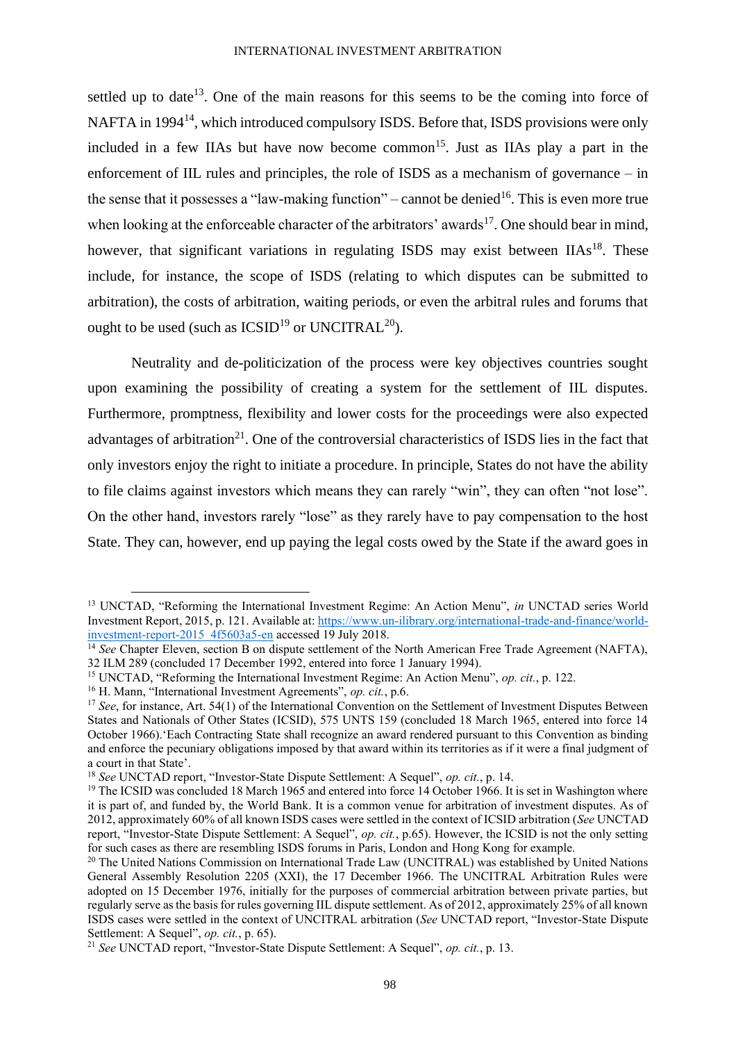settled up to date<sup>13</sup>. One of the main reasons for this seems to be the coming into force of NAFTA in 1994<sup>14</sup>, which introduced compulsory ISDS. Before that, ISDS provisions were only included in a few IIAs but have now become common<sup>15</sup>. Just as IIAs play a part in the enforcement of IIL rules and principles, the role of ISDS as a mechanism of governance – in the sense that it possesses a "law-making function" – cannot be denied<sup>16</sup>. This is even more true when looking at the enforceable character of the arbitrators' awards<sup>17</sup>. One should bear in mind, however, that significant variations in regulating ISDS may exist between  $IIAs^{18}$ . These include, for instance, the scope of ISDS (relating to which disputes can be submitted to arbitration), the costs of arbitration, waiting periods, or even the arbitral rules and forums that ought to be used (such as  $\text{ICSID}^{19}$  or UNCITRAL<sup>20</sup>).

Neutrality and de-politicization of the process were key objectives countries sought upon examining the possibility of creating a system for the settlement of IIL disputes. Furthermore, promptness, flexibility and lower costs for the proceedings were also expected advantages of arbitration<sup>21</sup>. One of the controversial characteristics of ISDS lies in the fact that only investors enjoy the right to initiate a procedure. In principle, States do not have the ability to file claims against investors which means they can rarely "win", they can often "not lose". On the other hand, investors rarely "lose" as they rarely have to pay compensation to the host State. They can, however, end up paying the legal costs owed by the State if the award goes in

<sup>13</sup> UNCTAD, "Reforming the International Investment Regime: An Action Menu", *in* UNCTAD series World Investment Report, 2015, p. 121. Available at: [https://www.un-ilibrary.org/international-trade-and-finance/world](https://www.un-ilibrary.org/international-trade-and-finance/world-investment-report-2015_4f5603a5-en)[investment-report-2015\\_4f5603a5-en](https://www.un-ilibrary.org/international-trade-and-finance/world-investment-report-2015_4f5603a5-en) accessed 19 July 2018.

<sup>&</sup>lt;sup>14</sup> See Chapter Eleven, section B on dispute settlement of the North American Free Trade Agreement (NAFTA), 32 ILM 289 (concluded 17 December 1992, entered into force 1 January 1994).

<sup>15</sup> UNCTAD, "Reforming the International Investment Regime: An Action Menu", *op. cit.*, p. 122.

<sup>16</sup> H. Mann, "International Investment Agreements", *op. cit.*, p.6.

<sup>&</sup>lt;sup>17</sup> *See*, for instance, Art. 54(1) of the International Convention on the Settlement of Investment Disputes Between States and Nationals of Other States (ICSID), 575 UNTS 159 (concluded 18 March 1965, entered into force 14 October 1966).'Each Contracting State shall recognize an award rendered pursuant to this Convention as binding and enforce the pecuniary obligations imposed by that award within its territories as if it were a final judgment of a court in that State'.

<sup>18</sup> *See* UNCTAD report, "Investor-State Dispute Settlement: A Sequel", *op. cit.*, p. 14.

<sup>&</sup>lt;sup>19</sup> The ICSID was concluded 18 March 1965 and entered into force 14 October 1966. It is set in Washington where it is part of, and funded by, the World Bank. It is a common venue for arbitration of investment disputes. As of 2012, approximately 60% of all known ISDS cases were settled in the context of ICSID arbitration (*See* UNCTAD report, "Investor-State Dispute Settlement: A Sequel", *op. cit.*, p.65). However, the ICSID is not the only setting for such cases as there are resembling ISDS forums in Paris, London and Hong Kong for example.

<sup>&</sup>lt;sup>20</sup> The United Nations Commission on International Trade Law (UNCITRAL) was established by United Nations General Assembly Resolution 2205 (XXI), the 17 December 1966. The UNCITRAL Arbitration Rules were adopted on 15 December 1976, initially for the purposes of commercial arbitration between private parties, but regularly serve as the basis for rules governing IIL dispute settlement. As of 2012, approximately 25% of all known ISDS cases were settled in the context of UNCITRAL arbitration (*See* UNCTAD report, "Investor-State Dispute Settlement: A Sequel", *op. cit.*, p. 65).

<sup>21</sup> *See* UNCTAD report, "Investor-State Dispute Settlement: A Sequel", *op. cit.*, p. 13.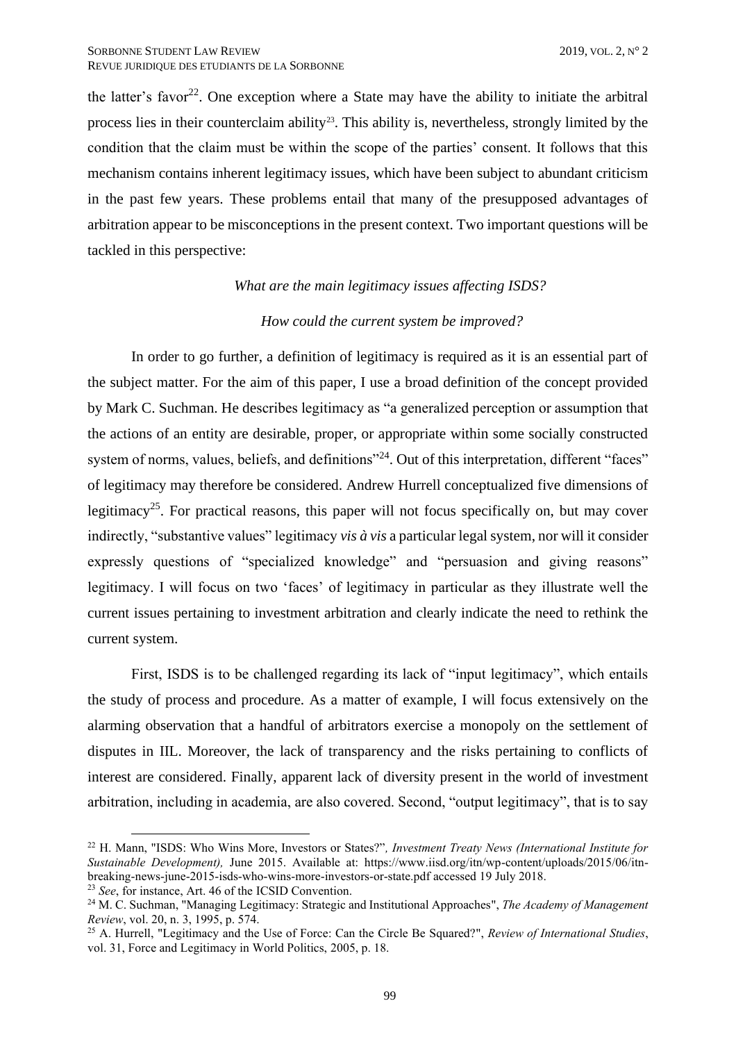the latter's favor<sup>22</sup>. One exception where a State may have the ability to initiate the arbitral process lies in their counterclaim ability<sup>23</sup>. This ability is, nevertheless, strongly limited by the condition that the claim must be within the scope of the parties' consent. It follows that this mechanism contains inherent legitimacy issues, which have been subject to abundant criticism in the past few years. These problems entail that many of the presupposed advantages of arbitration appear to be misconceptions in the present context. Two important questions will be tackled in this perspective:

#### *What are the main legitimacy issues affecting ISDS?*

# *How could the current system be improved?*

In order to go further, a definition of legitimacy is required as it is an essential part of the subject matter. For the aim of this paper, I use a broad definition of the concept provided by Mark C. Suchman. He describes legitimacy as "a generalized perception or assumption that the actions of an entity are desirable, proper, or appropriate within some socially constructed system of norms, values, beliefs, and definitions"<sup>24</sup>. Out of this interpretation, different "faces" of legitimacy may therefore be considered. Andrew Hurrell conceptualized five dimensions of legitimacy<sup>25</sup>. For practical reasons, this paper will not focus specifically on, but may cover indirectly, "substantive values" legitimacy *vis à vis* a particular legal system, nor will it consider expressly questions of "specialized knowledge" and "persuasion and giving reasons" legitimacy. I will focus on two 'faces' of legitimacy in particular as they illustrate well the current issues pertaining to investment arbitration and clearly indicate the need to rethink the current system.

First, ISDS is to be challenged regarding its lack of "input legitimacy", which entails the study of process and procedure. As a matter of example, I will focus extensively on the alarming observation that a handful of arbitrators exercise a monopoly on the settlement of disputes in IIL. Moreover, the lack of transparency and the risks pertaining to conflicts of interest are considered. Finally, apparent lack of diversity present in the world of investment arbitration, including in academia, are also covered. Second, "output legitimacy", that is to say

<sup>22</sup> H. Mann, "ISDS: Who Wins More, Investors or States?"*, Investment Treaty News (International Institute for Sustainable Development),* June 2015. Available at: https://www.iisd.org/itn/wp-content/uploads/2015/06/itnbreaking-news-june-2015-isds-who-wins-more-investors-or-state.pdf accessed 19 July 2018.

<sup>23</sup> *See*, for instance, Art. 46 of the ICSID Convention.

<sup>24</sup> M. C. Suchman, "Managing Legitimacy: Strategic and Institutional Approaches", *The Academy of Management Review*, vol. 20, n. 3, 1995, p. 574.

<sup>25</sup> A. Hurrell, "Legitimacy and the Use of Force: Can the Circle Be Squared?", *Review of International Studies*, vol. 31, Force and Legitimacy in World Politics, 2005, p. 18.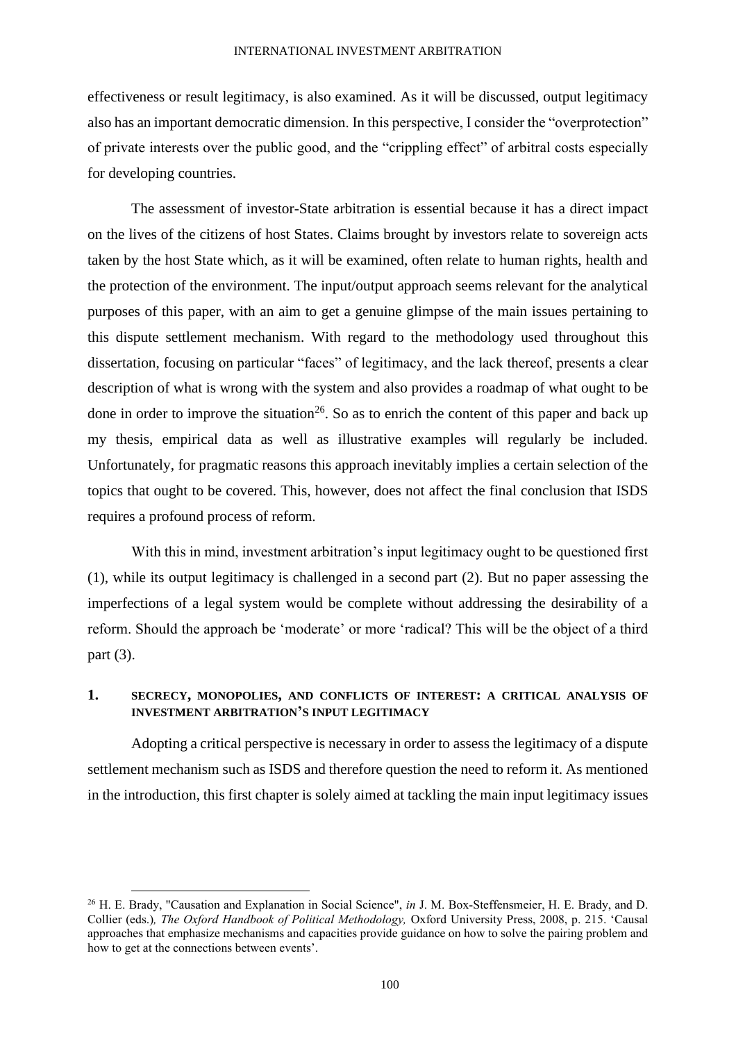effectiveness or result legitimacy, is also examined. As it will be discussed, output legitimacy also has an important democratic dimension. In this perspective, I consider the "overprotection" of private interests over the public good, and the "crippling effect" of arbitral costs especially for developing countries.

The assessment of investor-State arbitration is essential because it has a direct impact on the lives of the citizens of host States. Claims brought by investors relate to sovereign acts taken by the host State which, as it will be examined, often relate to human rights, health and the protection of the environment. The input/output approach seems relevant for the analytical purposes of this paper, with an aim to get a genuine glimpse of the main issues pertaining to this dispute settlement mechanism. With regard to the methodology used throughout this dissertation, focusing on particular "faces" of legitimacy, and the lack thereof, presents a clear description of what is wrong with the system and also provides a roadmap of what ought to be done in order to improve the situation<sup>26</sup>. So as to enrich the content of this paper and back up my thesis, empirical data as well as illustrative examples will regularly be included. Unfortunately, for pragmatic reasons this approach inevitably implies a certain selection of the topics that ought to be covered. This, however, does not affect the final conclusion that ISDS requires a profound process of reform.

With this in mind, investment arbitration's input legitimacy ought to be questioned first (1), while its output legitimacy is challenged in a second part (2). But no paper assessing the imperfections of a legal system would be complete without addressing the desirability of a reform. Should the approach be 'moderate' or more 'radical? This will be the object of a third part (3).

# <span id="page-7-0"></span>**1. SECRECY, MONOPOLIES, AND CONFLICTS OF INTEREST: A CRITICAL ANALYSIS OF INVESTMENT ARBITRATION'S INPUT LEGITIMACY**

Adopting a critical perspective is necessary in order to assess the legitimacy of a dispute settlement mechanism such as ISDS and therefore question the need to reform it. As mentioned in the introduction, this first chapter is solely aimed at tackling the main input legitimacy issues

<sup>26</sup> H. E. Brady, "Causation and Explanation in Social Science", *in* J. M. Box-Steffensmeier, H. E. Brady, and D. Collier (eds.)*, The Oxford Handbook of Political Methodology,* Oxford University Press, 2008, p. 215. 'Causal approaches that emphasize mechanisms and capacities provide guidance on how to solve the pairing problem and how to get at the connections between events'.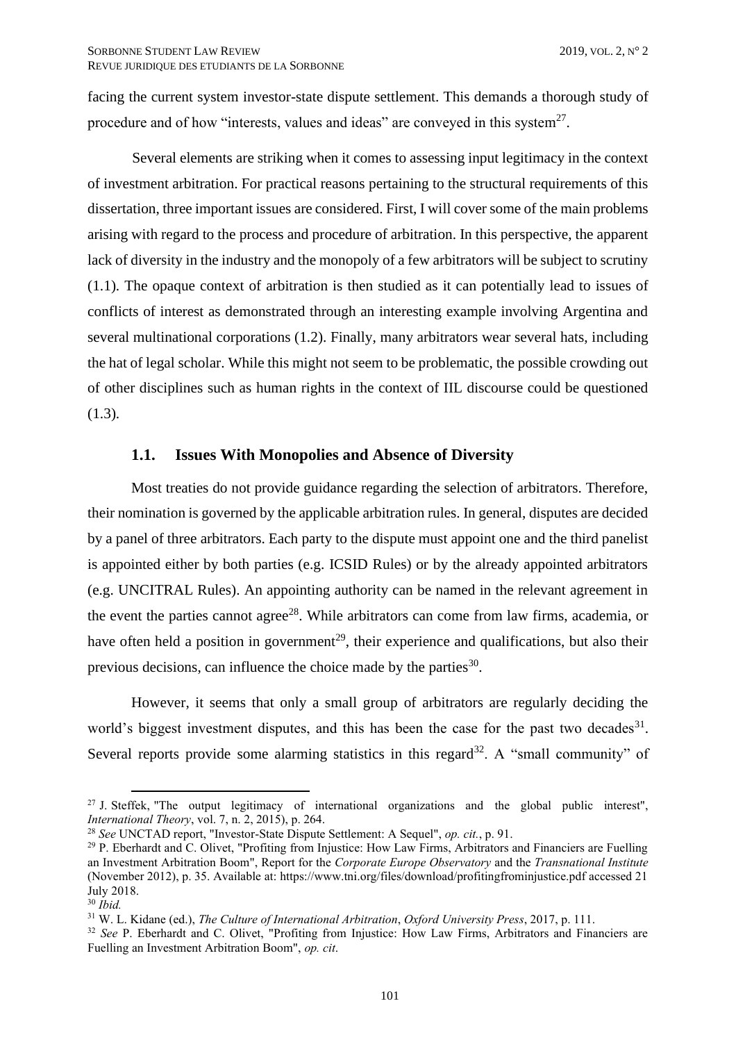facing the current system investor-state dispute settlement. This demands a thorough study of procedure and of how "interests, values and ideas" are conveyed in this system<sup>27</sup>.

Several elements are striking when it comes to assessing input legitimacy in the context of investment arbitration. For practical reasons pertaining to the structural requirements of this dissertation, three important issues are considered. First, I will cover some of the main problems arising with regard to the process and procedure of arbitration. In this perspective, the apparent lack of diversity in the industry and the monopoly of a few arbitrators will be subject to scrutiny (1.1). The opaque context of arbitration is then studied as it can potentially lead to issues of conflicts of interest as demonstrated through an interesting example involving Argentina and several multinational corporations (1.2). Finally, many arbitrators wear several hats, including the hat of legal scholar. While this might not seem to be problematic, the possible crowding out of other disciplines such as human rights in the context of IIL discourse could be questioned (1.3).

## **1.1. Issues With Monopolies and Absence of Diversity**

<span id="page-8-0"></span>Most treaties do not provide guidance regarding the selection of arbitrators. Therefore, their nomination is governed by the applicable arbitration rules. In general, disputes are decided by a panel of three arbitrators. Each party to the dispute must appoint one and the third panelist is appointed either by both parties (e.g. ICSID Rules) or by the already appointed arbitrators (e.g. UNCITRAL Rules). An appointing authority can be named in the relevant agreement in the event the parties cannot agree<sup>28</sup>. While arbitrators can come from law firms, academia, or have often held a position in government<sup>29</sup>, their experience and qualifications, but also their previous decisions, can influence the choice made by the parties<sup>30</sup>.

However, it seems that only a small group of arbitrators are regularly deciding the world's biggest investment disputes, and this has been the case for the past two decades $31$ . Several reports provide some alarming statistics in this regard<sup>32</sup>. A "small community" of

<sup>&</sup>lt;sup>27</sup> J. Steffek, "The output legitimacy of international organizations and the global public interest", *International Theory*, vol. 7, n. 2, 2015), p. 264.

<sup>28</sup> *See* UNCTAD report, "Investor-State Dispute Settlement: A Sequel", *op. cit.*, p. 91.

<sup>29</sup> P. Eberhardt and C. Olivet, "Profiting from Injustice: How Law Firms, Arbitrators and Financiers are Fuelling an Investment Arbitration Boom", Report for the *Corporate Europe Observatory* and the *Transnational Institute*  (November 2012), p. 35. Available at: https://www.tni.org/files/download/profitingfrominjustice.pdf accessed 21 July 2018.

<sup>30</sup> *Ibid.*

<sup>31</sup> W. L. Kidane (ed.), *The Culture of International Arbitration*, *Oxford University Press*, 2017, p. 111.

<sup>&</sup>lt;sup>32</sup> See P. Eberhardt and C. Olivet, "Profiting from Injustice: How Law Firms, Arbitrators and Financiers are Fuelling an Investment Arbitration Boom", *op. cit*.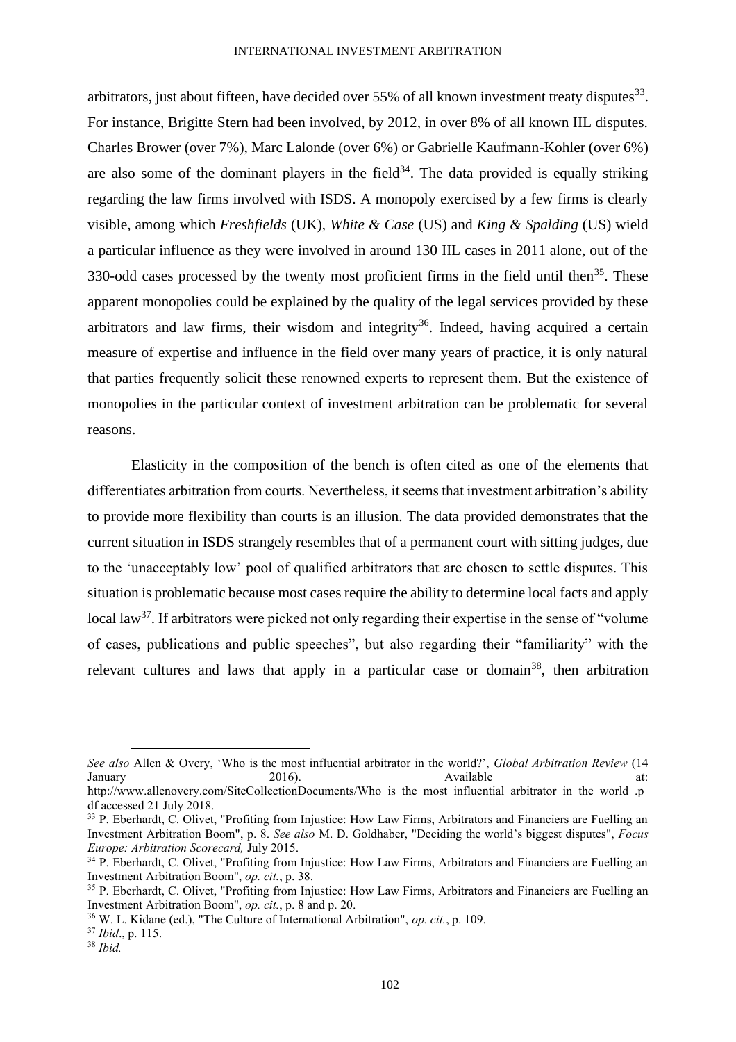arbitrators, just about fifteen, have decided over 55% of all known investment treaty disputes $^{33}$ . For instance, Brigitte Stern had been involved, by 2012, in over 8% of all known IIL disputes. Charles Brower (over 7%), Marc Lalonde (over 6%) or Gabrielle Kaufmann-Kohler (over 6%) are also some of the dominant players in the field<sup>34</sup>. The data provided is equally striking regarding the law firms involved with ISDS. A monopoly exercised by a few firms is clearly visible, among which *Freshfields* (UK), *White & Case* (US) and *King & Spalding* (US) wield a particular influence as they were involved in around 130 IIL cases in 2011 alone, out of the 330-odd cases processed by the twenty most proficient firms in the field until then<sup>35</sup>. These apparent monopolies could be explained by the quality of the legal services provided by these arbitrators and law firms, their wisdom and integrity<sup>36</sup>. Indeed, having acquired a certain measure of expertise and influence in the field over many years of practice, it is only natural that parties frequently solicit these renowned experts to represent them. But the existence of monopolies in the particular context of investment arbitration can be problematic for several reasons.

Elasticity in the composition of the bench is often cited as one of the elements that differentiates arbitration from courts. Nevertheless, it seems that investment arbitration's ability to provide more flexibility than courts is an illusion. The data provided demonstrates that the current situation in ISDS strangely resembles that of a permanent court with sitting judges, due to the 'unacceptably low' pool of qualified arbitrators that are chosen to settle disputes. This situation is problematic because most cases require the ability to determine local facts and apply local law<sup>37</sup>. If arbitrators were picked not only regarding their expertise in the sense of "volume" of cases, publications and public speeches", but also regarding their "familiarity" with the relevant cultures and laws that apply in a particular case or domain<sup>38</sup>, then arbitration

*See also* Allen & Overy, 'Who is the most influential arbitrator in the world?', *Global Arbitration Review* (14 January 2016). Available at: http://www.allenovery.com/SiteCollectionDocuments/Who\_is\_the\_most\_influential\_arbitrator\_in\_the\_world\_.p

df accessed 21 July 2018.

<sup>&</sup>lt;sup>33</sup> P. Eberhardt, C. Olivet, "Profiting from Injustice: How Law Firms, Arbitrators and Financiers are Fuelling an Investment Arbitration Boom", p. 8. *See also* M. D. Goldhaber, "Deciding the world's biggest disputes", *Focus Europe: Arbitration Scorecard,* July 2015.

<sup>&</sup>lt;sup>34</sup> P. Eberhardt, C. Olivet, "Profiting from Injustice: How Law Firms, Arbitrators and Financiers are Fuelling an Investment Arbitration Boom", *op. cit.*, p. 38.

<sup>&</sup>lt;sup>35</sup> P. Eberhardt, C. Olivet, "Profiting from Injustice: How Law Firms, Arbitrators and Financiers are Fuelling an Investment Arbitration Boom", *op. cit.*, p. 8 and p. 20.

<sup>36</sup> W. L. Kidane (ed.), "The Culture of International Arbitration", *op. cit.*, p. 109.

<sup>37</sup> *Ibid*., p. 115.

<sup>38</sup> *Ibid.*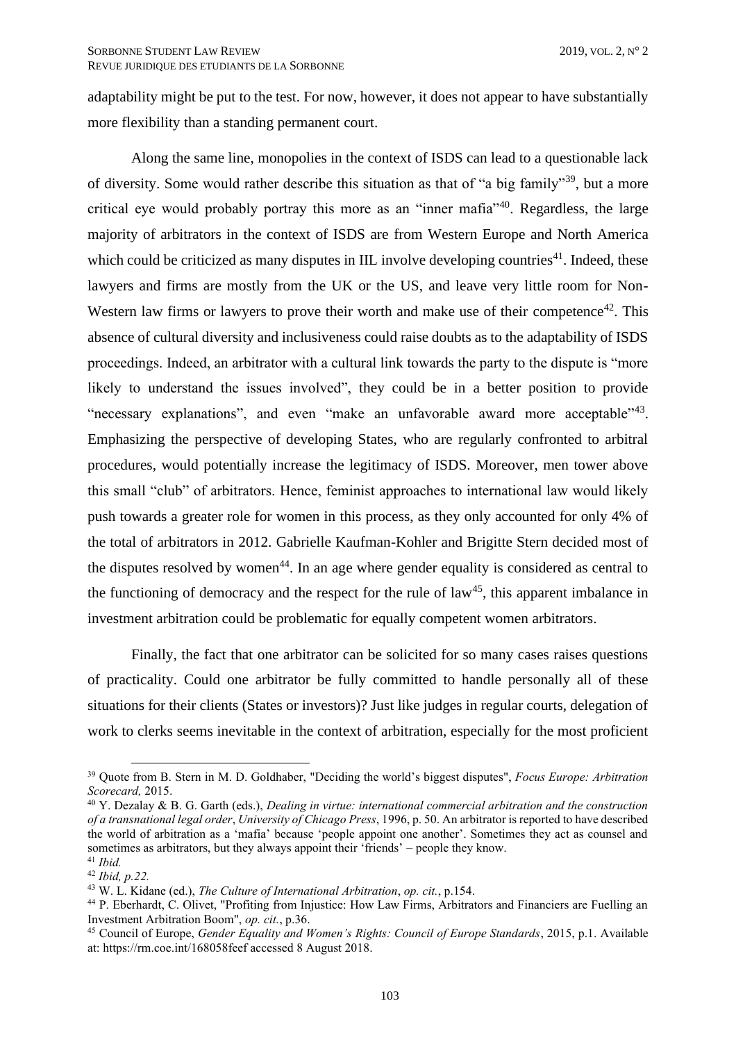adaptability might be put to the test. For now, however, it does not appear to have substantially more flexibility than a standing permanent court.

Along the same line, monopolies in the context of ISDS can lead to a questionable lack of diversity. Some would rather describe this situation as that of "a big family"<sup>39</sup>, but a more critical eye would probably portray this more as an "inner mafia"<sup>40</sup> . Regardless, the large majority of arbitrators in the context of ISDS are from Western Europe and North America which could be criticized as many disputes in IIL involve developing countries<sup>41</sup>. Indeed, these lawyers and firms are mostly from the UK or the US, and leave very little room for Non-Western law firms or lawyers to prove their worth and make use of their competence<sup>42</sup>. This absence of cultural diversity and inclusiveness could raise doubts as to the adaptability of ISDS proceedings. Indeed, an arbitrator with a cultural link towards the party to the dispute is "more likely to understand the issues involved", they could be in a better position to provide "necessary explanations", and even "make an unfavorable award more acceptable"<sup>43</sup>. Emphasizing the perspective of developing States, who are regularly confronted to arbitral procedures, would potentially increase the legitimacy of ISDS. Moreover, men tower above this small "club" of arbitrators. Hence, feminist approaches to international law would likely push towards a greater role for women in this process, as they only accounted for only 4% of the total of arbitrators in 2012. Gabrielle Kaufman-Kohler and Brigitte Stern decided most of the disputes resolved by women<sup>44</sup>. In an age where gender equality is considered as central to the functioning of democracy and the respect for the rule of  $law<sup>45</sup>$ , this apparent imbalance in investment arbitration could be problematic for equally competent women arbitrators.

Finally, the fact that one arbitrator can be solicited for so many cases raises questions of practicality. Could one arbitrator be fully committed to handle personally all of these situations for their clients (States or investors)? Just like judges in regular courts, delegation of work to clerks seems inevitable in the context of arbitration, especially for the most proficient

<sup>39</sup> Quote from B. Stern in M. D. Goldhaber, "Deciding the world's biggest disputes", *Focus Europe: Arbitration Scorecard,* 2015.

<sup>40</sup> Y. Dezalay & B. G. Garth (eds.), *Dealing in virtue: international commercial arbitration and the construction of a transnational legal order*, *University of Chicago Press*, 1996, p. 50. An arbitrator is reported to have described the world of arbitration as a 'mafia' because 'people appoint one another'. Sometimes they act as counsel and sometimes as arbitrators, but they always appoint their 'friends' – people they know. <sup>41</sup> *Ibid.*

<sup>42</sup> *Ibid, p.22.*

<sup>43</sup> W. L. Kidane (ed.), *The Culture of International Arbitration*, *op. cit.*, p.154.

<sup>44</sup> P. Eberhardt, C. Olivet, "Profiting from Injustice: How Law Firms, Arbitrators and Financiers are Fuelling an Investment Arbitration Boom", *op. cit.*, p.36.

<sup>45</sup> Council of Europe, *Gender Equality and Women's Rights: Council of Europe Standards*, 2015, p.1. Available at: https://rm.coe.int/168058feef accessed 8 August 2018.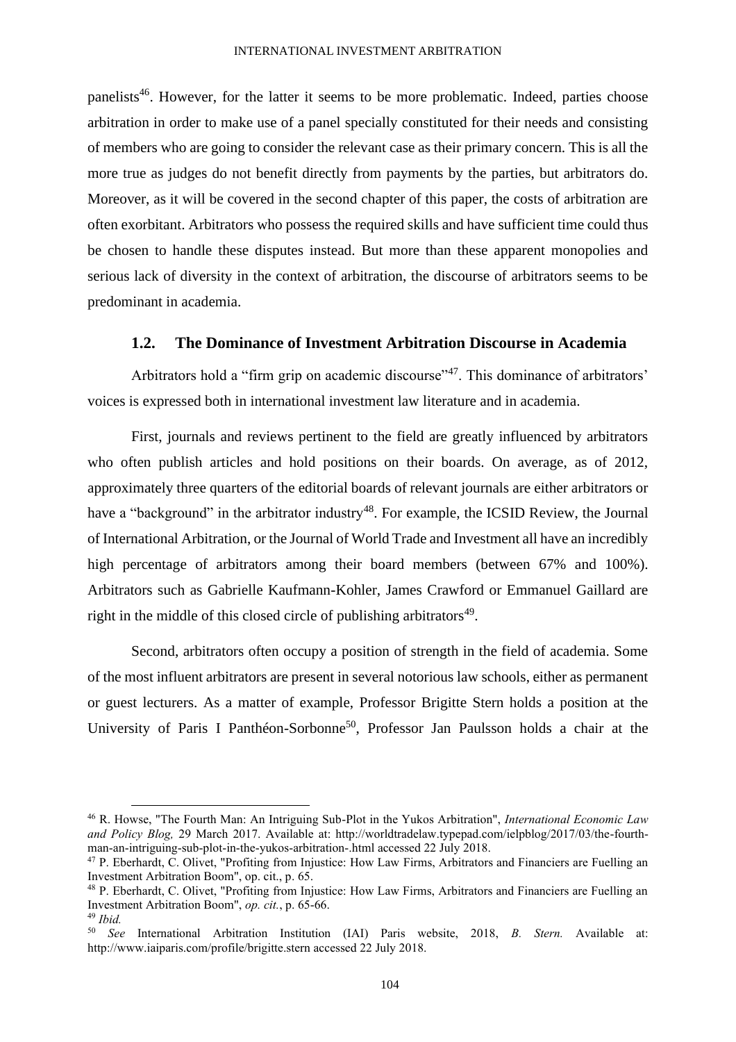panelists<sup>46</sup>. However, for the latter it seems to be more problematic. Indeed, parties choose arbitration in order to make use of a panel specially constituted for their needs and consisting of members who are going to consider the relevant case as their primary concern. This is all the more true as judges do not benefit directly from payments by the parties, but arbitrators do. Moreover, as it will be covered in the second chapter of this paper, the costs of arbitration are often exorbitant. Arbitrators who possess the required skills and have sufficient time could thus be chosen to handle these disputes instead. But more than these apparent monopolies and serious lack of diversity in the context of arbitration, the discourse of arbitrators seems to be predominant in academia.

## **1.2. The Dominance of Investment Arbitration Discourse in Academia**

<span id="page-11-0"></span>Arbitrators hold a "firm grip on academic discourse"<sup>47</sup>. This dominance of arbitrators' voices is expressed both in international investment law literature and in academia.

First, journals and reviews pertinent to the field are greatly influenced by arbitrators who often publish articles and hold positions on their boards. On average, as of 2012, approximately three quarters of the editorial boards of relevant journals are either arbitrators or have a "background" in the arbitrator industry<sup>48</sup>. For example, the ICSID Review, the Journal of International Arbitration, or the Journal of World Trade and Investment all have an incredibly high percentage of arbitrators among their board members (between 67% and 100%). Arbitrators such as Gabrielle Kaufmann-Kohler, James Crawford or Emmanuel Gaillard are right in the middle of this closed circle of publishing arbitrators<sup>49</sup>.

Second, arbitrators often occupy a position of strength in the field of academia. Some of the most influent arbitrators are present in several notorious law schools, either as permanent or guest lecturers. As a matter of example, Professor Brigitte Stern holds a position at the University of Paris I Panthéon-Sorbonne<sup>50</sup>, Professor Jan Paulsson holds a chair at the

<sup>46</sup> R. Howse, "The Fourth Man: An Intriguing Sub-Plot in the Yukos Arbitration", *International Economic Law and Policy Blog,* 29 March 2017. Available at: http://worldtradelaw.typepad.com/ielpblog/2017/03/the-fourthman-an-intriguing-sub-plot-in-the-yukos-arbitration-.html accessed 22 July 2018.

<sup>47</sup> P. Eberhardt, C. Olivet, "Profiting from Injustice: How Law Firms, Arbitrators and Financiers are Fuelling an Investment Arbitration Boom", op. cit., p. 65.

<sup>&</sup>lt;sup>48</sup> P. Eberhardt, C. Olivet, "Profiting from Injustice: How Law Firms, Arbitrators and Financiers are Fuelling an Investment Arbitration Boom", *op. cit.*, p. 65-66.

<sup>49</sup> *Ibid.*

<sup>50</sup> *See* International Arbitration Institution (IAI) Paris website, 2018, *B. Stern.* Available at: http://www.iaiparis.com/profile/brigitte.stern accessed 22 July 2018.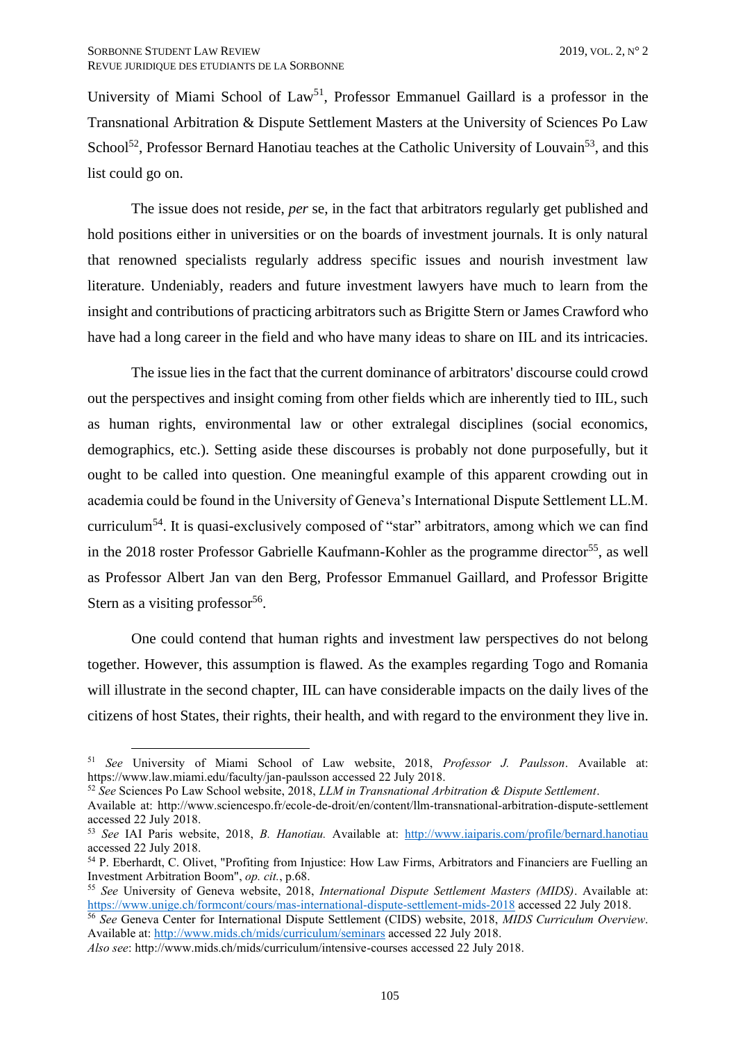University of Miami School of  $Law<sup>51</sup>$ , Professor Emmanuel Gaillard is a professor in the Transnational Arbitration & Dispute Settlement Masters at the University of Sciences Po Law School<sup>52</sup>, Professor Bernard Hanotiau teaches at the Catholic University of Louvain<sup>53</sup>, and this list could go on.

The issue does not reside, *per* se, in the fact that arbitrators regularly get published and hold positions either in universities or on the boards of investment journals. It is only natural that renowned specialists regularly address specific issues and nourish investment law literature. Undeniably, readers and future investment lawyers have much to learn from the insight and contributions of practicing arbitrators such as Brigitte Stern or James Crawford who have had a long career in the field and who have many ideas to share on IIL and its intricacies.

The issue lies in the fact that the current dominance of arbitrators' discourse could crowd out the perspectives and insight coming from other fields which are inherently tied to IIL, such as human rights, environmental law or other extralegal disciplines (social economics, demographics, etc.). Setting aside these discourses is probably not done purposefully, but it ought to be called into question. One meaningful example of this apparent crowding out in academia could be found in the University of Geneva's International Dispute Settlement LL.M. curriculum<sup>54</sup>. It is quasi-exclusively composed of "star" arbitrators, among which we can find in the 2018 roster Professor Gabrielle Kaufmann-Kohler as the programme director<sup>55</sup>, as well as Professor Albert Jan van den Berg, Professor Emmanuel Gaillard, and Professor Brigitte Stern as a visiting professor $56$ .

One could contend that human rights and investment law perspectives do not belong together. However, this assumption is flawed. As the examples regarding Togo and Romania will illustrate in the second chapter, IIL can have considerable impacts on the daily lives of the citizens of host States, their rights, their health, and with regard to the environment they live in.

<sup>51</sup> *See* University of Miami School of Law website, 2018, *Professor J. Paulsson*. Available at: https://www.law.miami.edu/faculty/jan-paulsson accessed 22 July 2018.

<sup>52</sup> *See* Sciences Po Law School website, 2018, *LLM in Transnational Arbitration & Dispute Settlement*.

Available at: http://www.sciencespo.fr/ecole-de-droit/en/content/llm-transnational-arbitration-dispute-settlement accessed 22 July 2018.

<sup>53</sup> *See* IAI Paris website, 2018, *B. Hanotiau.* Available at: <http://www.iaiparis.com/profile/bernard.hanotiau> accessed 22 July 2018.

<sup>54</sup> P. Eberhardt, C. Olivet, "Profiting from Injustice: How Law Firms, Arbitrators and Financiers are Fuelling an Investment Arbitration Boom", *op. cit.*, p.68.

<sup>55</sup> *See* University of Geneva website, 2018, *International Dispute Settlement Masters (MIDS)*. Available at: <https://www.unige.ch/formcont/cours/mas-international-dispute-settlement-mids-2018> accessed 22 July 2018.

<sup>56</sup> *See* Geneva Center for International Dispute Settlement (CIDS) website, 2018, *MIDS Curriculum Overview*. Available at[: http://www.mids.ch/mids/curriculum/seminars](http://www.mids.ch/mids/curriculum/seminars) accessed 22 July 2018.

*Also see*: http://www.mids.ch/mids/curriculum/intensive-courses accessed 22 July 2018.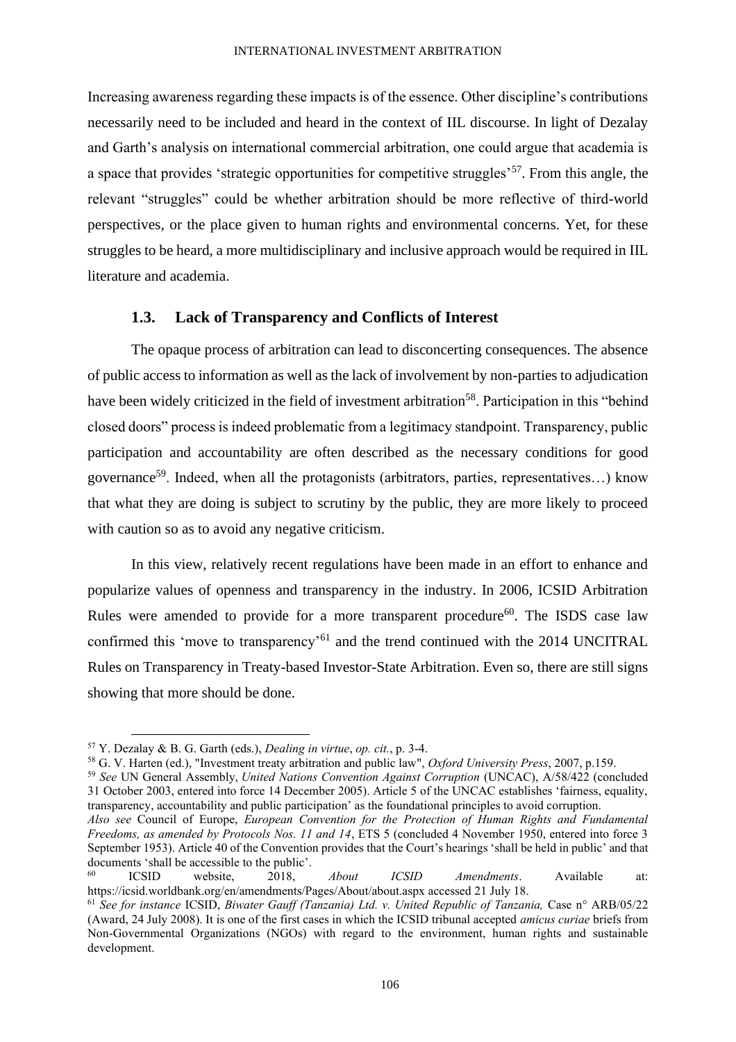Increasing awareness regarding these impacts is of the essence. Other discipline's contributions necessarily need to be included and heard in the context of IIL discourse. In light of Dezalay and Garth's analysis on international commercial arbitration, one could argue that academia is a space that provides 'strategic opportunities for competitive struggles'<sup>57</sup>. From this angle, the relevant "struggles" could be whether arbitration should be more reflective of third-world perspectives, or the place given to human rights and environmental concerns. Yet, for these struggles to be heard, a more multidisciplinary and inclusive approach would be required in IIL literature and academia.

# **1.3. Lack of Transparency and Conflicts of Interest**

<span id="page-13-0"></span>The opaque process of arbitration can lead to disconcerting consequences. The absence of public access to information as well as the lack of involvement by non-parties to adjudication have been widely criticized in the field of investment arbitration<sup>58</sup>. Participation in this "behind" closed doors" process is indeed problematic from a legitimacy standpoint. Transparency, public participation and accountability are often described as the necessary conditions for good governance<sup>59</sup>. Indeed, when all the protagonists (arbitrators, parties, representatives...) know that what they are doing is subject to scrutiny by the public, they are more likely to proceed with caution so as to avoid any negative criticism.

In this view, relatively recent regulations have been made in an effort to enhance and popularize values of openness and transparency in the industry. In 2006, ICSID Arbitration Rules were amended to provide for a more transparent procedure<sup>60</sup>. The ISDS case law confirmed this 'move to transparency'<sup>61</sup> and the trend continued with the 2014 UNCITRAL Rules on Transparency in Treaty-based Investor-State Arbitration. Even so, there are still signs showing that more should be done.

<sup>58</sup> G. V. Harten (ed.), "Investment treaty arbitration and public law", *Oxford University Press*, 2007, p.159.

<sup>59</sup> *See* UN General Assembly, *United Nations Convention Against Corruption* (UNCAC), A/58/422 (concluded 31 October 2003, entered into force 14 December 2005). Article 5 of the UNCAC establishes 'fairness, equality, transparency, accountability and public participation' as the foundational principles to avoid corruption.

<sup>57</sup> Y. Dezalay & B. G. Garth (eds.), *Dealing in virtue*, *op. cit.*, p. 3-4.

*Also see* Council of Europe, *European Convention for the Protection of Human Rights and Fundamental Freedoms, as amended by Protocols Nos. 11 and 14*, ETS 5 (concluded 4 November 1950, entered into force 3 September 1953). Article 40 of the Convention provides that the Court's hearings 'shall be held in public' and that documents 'shall be accessible to the public'.

<sup>60</sup> ICSID website, 2018, *About ICSID Amendments*. Available at: https://icsid.worldbank.org/en/amendments/Pages/About/about.aspx accessed 21 July 18.

<sup>61</sup> *See for instance* ICSID, *Biwater Gauff (Tanzania) Ltd. v. United Republic of Tanzania,* Case n° ARB/05/22 (Award, 24 July 2008). It is one of the first cases in which the ICSID tribunal accepted *amicus curiae* briefs from Non-Governmental Organizations (NGOs) with regard to the environment, human rights and sustainable development.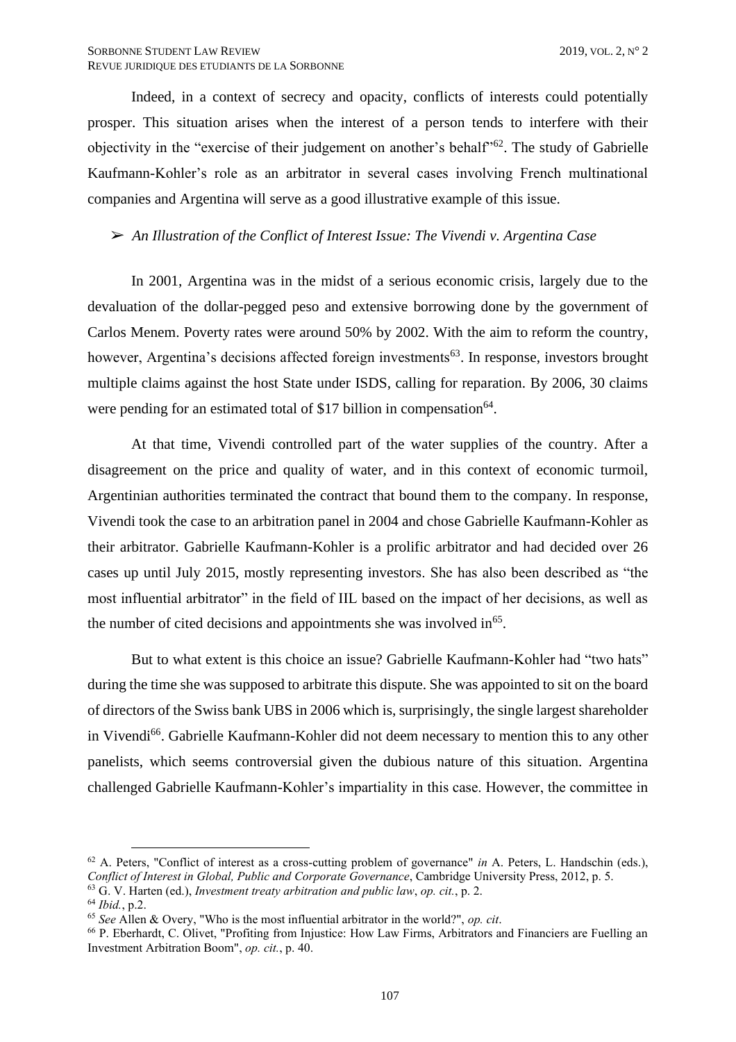Indeed, in a context of secrecy and opacity, conflicts of interests could potentially prosper. This situation arises when the interest of a person tends to interfere with their objectivity in the "exercise of their judgement on another's behalf<sup>562</sup>. The study of Gabrielle Kaufmann-Kohler's role as an arbitrator in several cases involving French multinational companies and Argentina will serve as a good illustrative example of this issue.

➢ *An Illustration of the Conflict of Interest Issue: The Vivendi v. Argentina Case*

In 2001, Argentina was in the midst of a serious economic crisis, largely due to the devaluation of the dollar-pegged peso and extensive borrowing done by the government of Carlos Menem. Poverty rates were around 50% by 2002. With the aim to reform the country, however, Argentina's decisions affected foreign investments<sup>63</sup>. In response, investors brought multiple claims against the host State under ISDS, calling for reparation. By 2006, 30 claims were pending for an estimated total of \$17 billion in compensation<sup>64</sup>.

At that time, Vivendi controlled part of the water supplies of the country. After a disagreement on the price and quality of water, and in this context of economic turmoil, Argentinian authorities terminated the contract that bound them to the company. In response, Vivendi took the case to an arbitration panel in 2004 and chose Gabrielle Kaufmann-Kohler as their arbitrator. Gabrielle Kaufmann-Kohler is a prolific arbitrator and had decided over 26 cases up until July 2015, mostly representing investors. She has also been described as "the most influential arbitrator" in the field of IIL based on the impact of her decisions, as well as the number of cited decisions and appointments she was involved in<sup>65</sup>.

But to what extent is this choice an issue? Gabrielle Kaufmann-Kohler had "two hats" during the time she was supposed to arbitrate this dispute. She was appointed to sit on the board of directors of the Swiss bank UBS in 2006 which is, surprisingly, the single largest shareholder in Vivendi<sup>66</sup>. Gabrielle Kaufmann-Kohler did not deem necessary to mention this to any other panelists, which seems controversial given the dubious nature of this situation. Argentina challenged Gabrielle Kaufmann-Kohler's impartiality in this case. However, the committee in

<sup>62</sup> A. Peters, "Conflict of interest as a cross-cutting problem of governance" *in* A. Peters, L. Handschin (eds.), *Conflict of Interest in Global, Public and Corporate Governance*, Cambridge University Press, 2012, p. 5. <sup>63</sup> G. V. Harten (ed.), *Investment treaty arbitration and public law*, *op. cit.*, p. 2.

<sup>64</sup> *Ibid.*, p.2.

<sup>65</sup> *See* Allen & Overy, "Who is the most influential arbitrator in the world?", *op. cit*.

<sup>&</sup>lt;sup>66</sup> P. Eberhardt, C. Olivet, "Profiting from Injustice: How Law Firms, Arbitrators and Financiers are Fuelling an Investment Arbitration Boom", *op. cit.*, p. 40.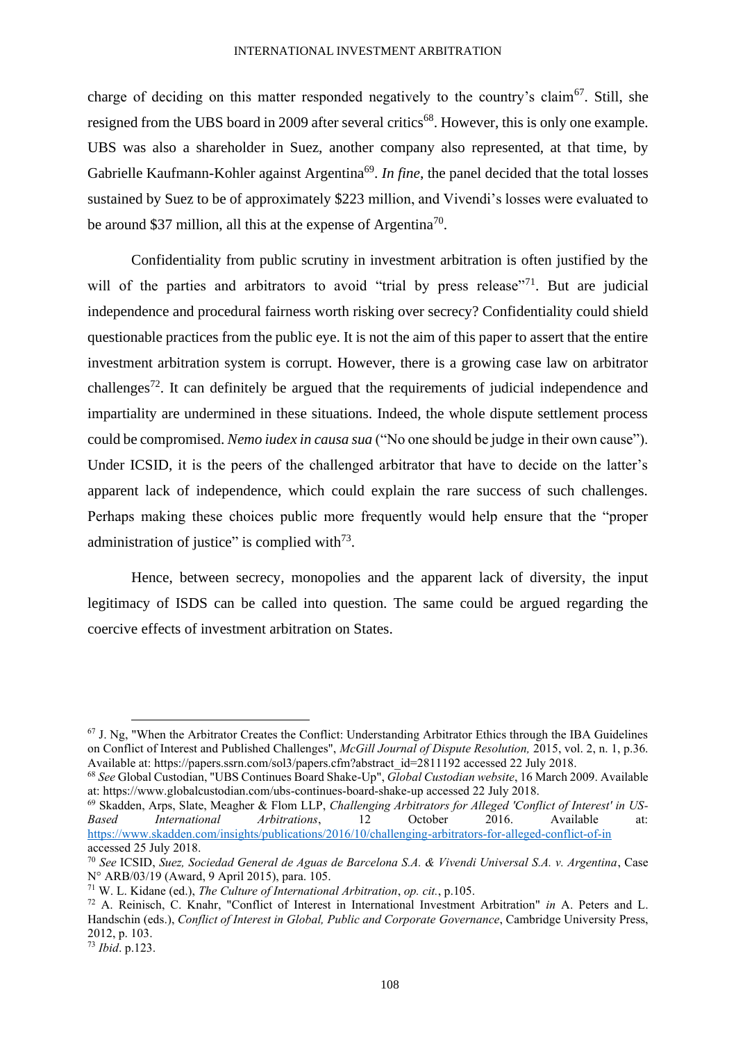charge of deciding on this matter responded negatively to the country's claim<sup>67</sup>. Still, she resigned from the UBS board in 2009 after several critics<sup>68</sup>. However, this is only one example. UBS was also a shareholder in Suez, another company also represented, at that time, by Gabrielle Kaufmann-Kohler against Argentina<sup>69</sup>. *In fine*, the panel decided that the total losses sustained by Suez to be of approximately \$223 million, and Vivendi's losses were evaluated to be around \$37 million, all this at the expense of Argentina<sup>70</sup>.

Confidentiality from public scrutiny in investment arbitration is often justified by the will of the parties and arbitrators to avoid "trial by press release"<sup>71</sup>. But are judicial independence and procedural fairness worth risking over secrecy? Confidentiality could shield questionable practices from the public eye. It is not the aim of this paper to assert that the entire investment arbitration system is corrupt. However, there is a growing case law on arbitrator challenges<sup>72</sup>. It can definitely be argued that the requirements of judicial independence and impartiality are undermined in these situations. Indeed, the whole dispute settlement process could be compromised. *Nemo iudex in causa sua* ("No one should be judge in their own cause"). Under ICSID, it is the peers of the challenged arbitrator that have to decide on the latter's apparent lack of independence, which could explain the rare success of such challenges. Perhaps making these choices public more frequently would help ensure that the "proper administration of justice" is complied with $73$ .

Hence, between secrecy, monopolies and the apparent lack of diversity, the input legitimacy of ISDS can be called into question. The same could be argued regarding the coercive effects of investment arbitration on States.

 $67$  J. Ng, "When the Arbitrator Creates the Conflict: Understanding Arbitrator Ethics through the IBA Guidelines on Conflict of Interest and Published Challenges", *McGill Journal of Dispute Resolution,* 2015, vol. 2, n. 1, p.36. Available at: https://papers.ssrn.com/sol3/papers.cfm?abstract\_id=2811192 accessed 22 July 2018.

<sup>68</sup> *See* Global Custodian, "UBS Continues Board Shake-Up", *Global Custodian website*, 16 March 2009. Available at: https://www.globalcustodian.com/ubs-continues-board-shake-up accessed 22 July 2018.

<sup>69</sup> Skadden, Arps, Slate, Meagher & Flom LLP, *Challenging Arbitrators for Alleged 'Conflict of Interest' in US-Based International Arbitrations*, 12 October 2016. Available at: <https://www.skadden.com/insights/publications/2016/10/challenging-arbitrators-for-alleged-conflict-of-in> accessed 25 July 2018.

<sup>70</sup> *See* ICSID, *Suez, Sociedad General de Aguas de Barcelona S.A. & Vivendi Universal S.A. v. Argentina*, Case N° ARB/03/19 (Award, 9 April 2015), para. 105.

<sup>71</sup> W. L. Kidane (ed.), *The Culture of International Arbitration*, *op. cit.*, p.105.

<sup>72</sup> A. Reinisch, C. Knahr, "Conflict of Interest in International Investment Arbitration" *in* A. Peters and L. Handschin (eds.), *Conflict of Interest in Global, Public and Corporate Governance*, Cambridge University Press, 2012, p. 103.

<sup>73</sup> *Ibid*. p.123.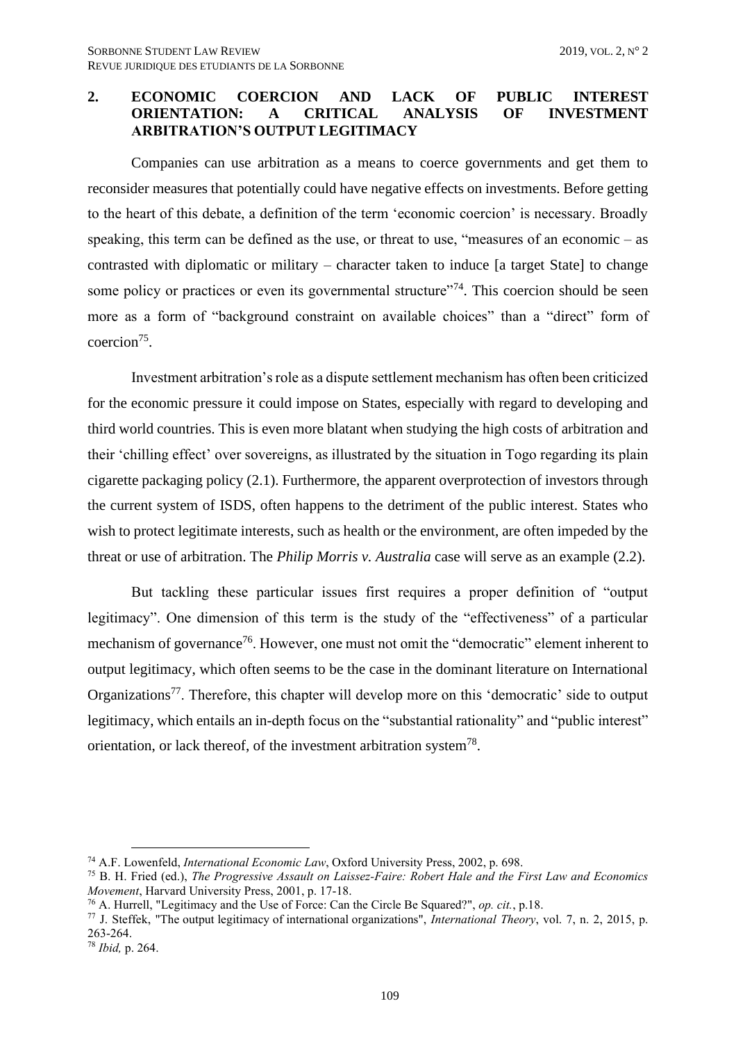# <span id="page-16-0"></span>**2. ECONOMIC COERCION AND LACK OF PUBLIC INTEREST ORIENTATION: A CRITICAL ANALYSIS OF INVESTMENT ARBITRATION'S OUTPUT LEGITIMACY**

Companies can use arbitration as a means to coerce governments and get them to reconsider measures that potentially could have negative effects on investments. Before getting to the heart of this debate, a definition of the term 'economic coercion' is necessary. Broadly speaking, this term can be defined as the use, or threat to use, "measures of an economic – as contrasted with diplomatic or military – character taken to induce [a target State] to change some policy or practices or even its governmental structure"<sup>74</sup>. This coercion should be seen more as a form of "background constraint on available choices" than a "direct" form of coercion<sup>75</sup>.

Investment arbitration's role as a dispute settlement mechanism has often been criticized for the economic pressure it could impose on States, especially with regard to developing and third world countries. This is even more blatant when studying the high costs of arbitration and their 'chilling effect' over sovereigns, as illustrated by the situation in Togo regarding its plain cigarette packaging policy (2.1). Furthermore, the apparent overprotection of investors through the current system of ISDS, often happens to the detriment of the public interest. States who wish to protect legitimate interests, such as health or the environment, are often impeded by the threat or use of arbitration. The *Philip Morris v. Australia* case will serve as an example (2.2).

But tackling these particular issues first requires a proper definition of "output legitimacy". One dimension of this term is the study of the "effectiveness" of a particular mechanism of governance<sup>76</sup>. However, one must not omit the "democratic" element inherent to output legitimacy, which often seems to be the case in the dominant literature on International Organizations<sup>77</sup>. Therefore, this chapter will develop more on this 'democratic' side to output legitimacy, which entails an in-depth focus on the "substantial rationality" and "public interest" orientation, or lack thereof, of the investment arbitration system<sup>78</sup>.

<sup>74</sup> A.F. Lowenfeld, *International Economic Law*, Oxford University Press, 2002, p. 698.

<sup>75</sup> B. H. Fried (ed.), *The Progressive Assault on Laissez-Faire: Robert Hale and the First Law and Economics Movement*, Harvard University Press, 2001, p. 17-18.

<sup>76</sup> A. Hurrell, "Legitimacy and the Use of Force: Can the Circle Be Squared?", *op. cit.*, p.18.

<sup>77</sup> J. Steffek, "The output legitimacy of international organizations", *International Theory*, vol. 7, n. 2, 2015, p. 263-264.

<sup>78</sup> *Ibid,* p. 264.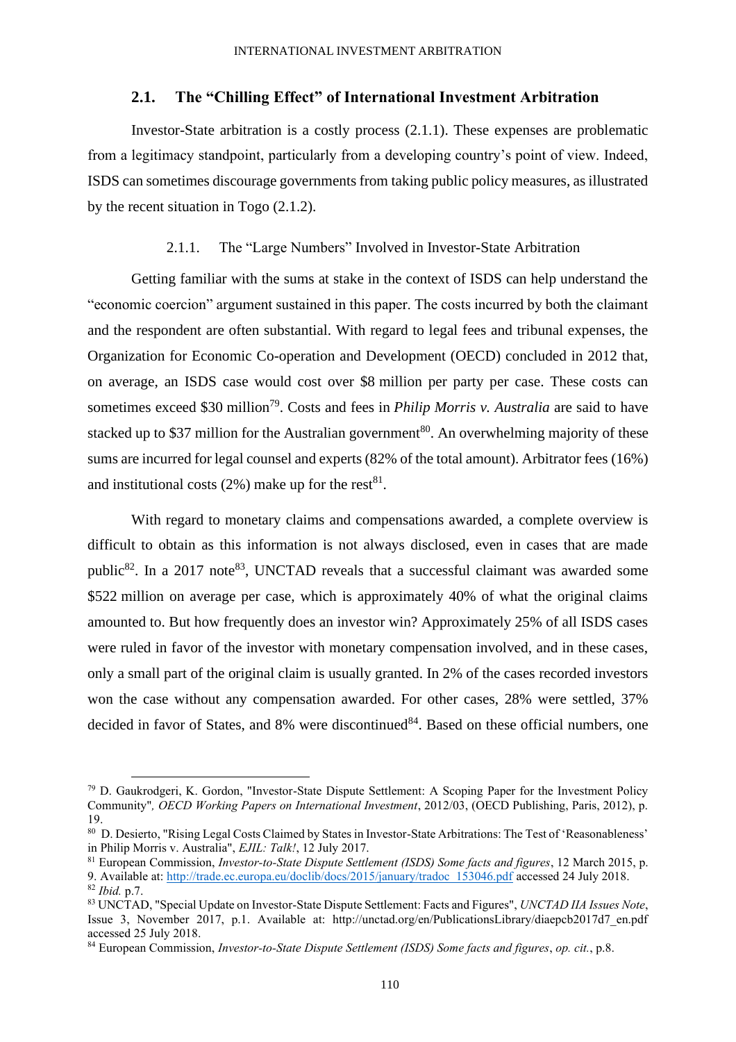## **2.1. The "Chilling Effect" of International Investment Arbitration**

<span id="page-17-0"></span>Investor-State arbitration is a costly process (2.1.1). These expenses are problematic from a legitimacy standpoint, particularly from a developing country's point of view. Indeed, ISDS can sometimes discourage governments from taking public policy measures, as illustrated by the recent situation in Togo (2.1.2).

#### 2.1.1. The "Large Numbers" Involved in Investor-State Arbitration

<span id="page-17-1"></span>Getting familiar with the sums at stake in the context of ISDS can help understand the "economic coercion" argument sustained in this paper. The costs incurred by both the claimant and the respondent are often substantial. With regard to legal fees and tribunal expenses, the Organization for Economic Co-operation and Development (OECD) concluded in 2012 that, on average, an ISDS case would cost over \$8 million per party per case. These costs can sometimes exceed \$30 million<sup>79</sup>. Costs and fees in *Philip Morris v. Australia* are said to have stacked up to \$37 million for the Australian government<sup>80</sup>. An overwhelming majority of these sums are incurred for legal counsel and experts (82% of the total amount). Arbitrator fees (16%) and institutional costs (2%) make up for the rest<sup>81</sup>.

With regard to monetary claims and compensations awarded, a complete overview is difficult to obtain as this information is not always disclosed, even in cases that are made public<sup>82</sup>. In a 2017 note<sup>83</sup>, UNCTAD reveals that a successful claimant was awarded some \$522 million on average per case, which is approximately 40% of what the original claims amounted to. But how frequently does an investor win? Approximately 25% of all ISDS cases were ruled in favor of the investor with monetary compensation involved, and in these cases, only a small part of the original claim is usually granted. In 2% of the cases recorded investors won the case without any compensation awarded. For other cases, 28% were settled, 37% decided in favor of States, and  $8\%$  were discontinued<sup>84</sup>. Based on these official numbers, one

<sup>79</sup> D. Gaukrodgeri, K. Gordon, "Investor-State Dispute Settlement: A Scoping Paper for the Investment Policy Community"*, OECD Working Papers on International Investment*, 2012/03, (OECD Publishing, Paris, 2012), p. 19.

<sup>80</sup> [D. Desierto,](https://www.ejiltalk.org/author/ddesierto/) "Rising Legal Costs Claimed by States in Investor-State Arbitrations: The Test of 'Reasonableness' in Philip Morris v. Australia", *EJIL: Talk!*, 12 July 2017.

<sup>81</sup> European Commission, *Investor-to-State Dispute Settlement (ISDS) Some facts and figures*, 12 March 2015, p. 9. Available at[: http://trade.ec.europa.eu/doclib/docs/2015/january/tradoc\\_153046.pdf](http://trade.ec.europa.eu/doclib/docs/2015/january/tradoc_153046.pdf) accessed 24 July 2018.

<sup>82</sup> *Ibid.* p.7.

<sup>83</sup> UNCTAD, "Special Update on Investor-State Dispute Settlement: Facts and Figures", *UNCTAD IIA Issues Note*, Issue 3, November 2017, p.1. Available at: http://unctad.org/en/PublicationsLibrary/diaepcb2017d7\_en.pdf accessed 25 July 2018.

<sup>84</sup> European Commission, *Investor-to-State Dispute Settlement (ISDS) Some facts and figures*, *op. cit.*, p.8.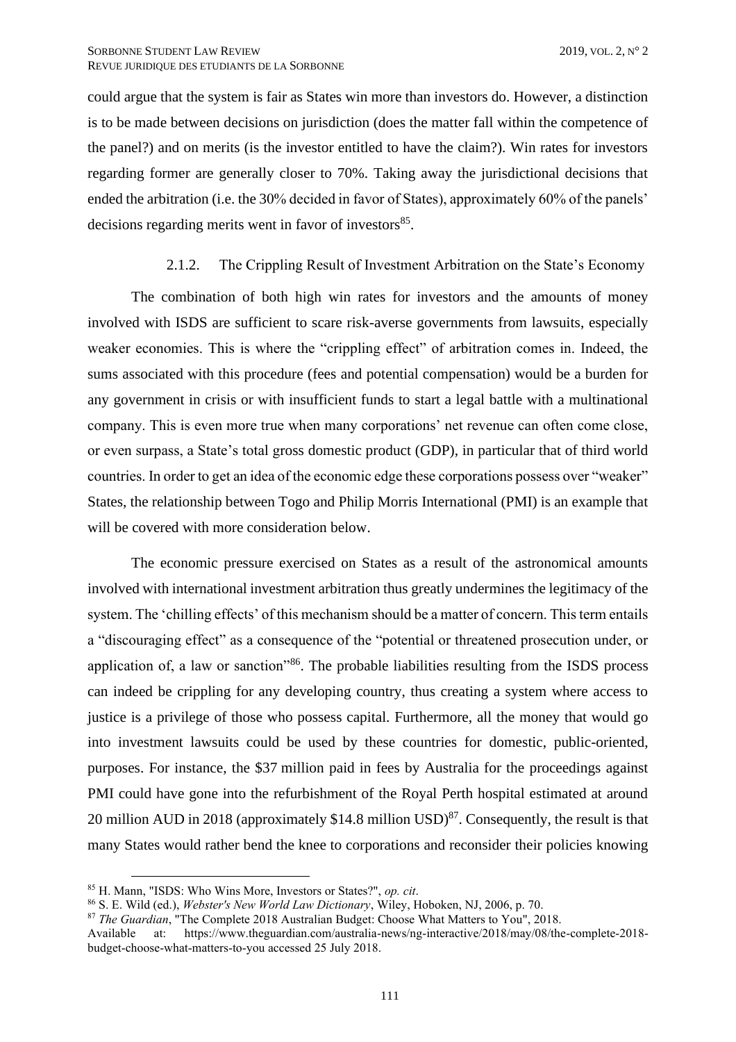could argue that the system is fair as States win more than investors do. However, a distinction is to be made between decisions on jurisdiction (does the matter fall within the competence of the panel?) and on merits (is the investor entitled to have the claim?). Win rates for investors regarding former are generally closer to 70%. Taking away the jurisdictional decisions that ended the arbitration (i.e. the 30% decided in favor of States), approximately 60% of the panels' decisions regarding merits went in favor of investors<sup>85</sup>.

## 2.1.2. The Crippling Result of Investment Arbitration on the State's Economy

<span id="page-18-0"></span>The combination of both high win rates for investors and the amounts of money involved with ISDS are sufficient to scare risk-averse governments from lawsuits, especially weaker economies. This is where the "crippling effect" of arbitration comes in. Indeed, the sums associated with this procedure (fees and potential compensation) would be a burden for any government in crisis or with insufficient funds to start a legal battle with a multinational company. This is even more true when many corporations' net revenue can often come close, or even surpass, a State's total gross domestic product (GDP), in particular that of third world countries. In order to get an idea of the economic edge these corporations possess over "weaker" States, the relationship between Togo and Philip Morris International (PMI) is an example that will be covered with more consideration below.

The economic pressure exercised on States as a result of the astronomical amounts involved with international investment arbitration thus greatly undermines the legitimacy of the system. The 'chilling effects' of this mechanism should be a matter of concern. This term entails a "discouraging effect" as a consequence of the "potential or threatened prosecution under, or application of, a law or sanction"<sup>86</sup>. The probable liabilities resulting from the ISDS process can indeed be crippling for any developing country, thus creating a system where access to justice is a privilege of those who possess capital. Furthermore, all the money that would go into investment lawsuits could be used by these countries for domestic, public-oriented, purposes. For instance, the \$37 million paid in fees by Australia for the proceedings against PMI could have gone into the refurbishment of the Royal Perth hospital estimated at around 20 million AUD in 2018 (approximately \$14.8 million USD) $^{87}$ . Consequently, the result is that many States would rather bend the knee to corporations and reconsider their policies knowing

<sup>85</sup> H. Mann, "ISDS: Who Wins More, Investors or States?", *op. cit*.

<sup>86</sup> S. E. Wild (ed.), *Webster's New World Law Dictionary*, Wiley, Hoboken, NJ, 2006, p. 70.

<sup>87</sup> *The Guardian*, "The Complete 2018 Australian Budget: Choose What Matters to You", 2018.

Available at: https://www.theguardian.com/australia-news/ng-interactive/2018/may/08/the-complete-2018 budget-choose-what-matters-to-you accessed 25 July 2018.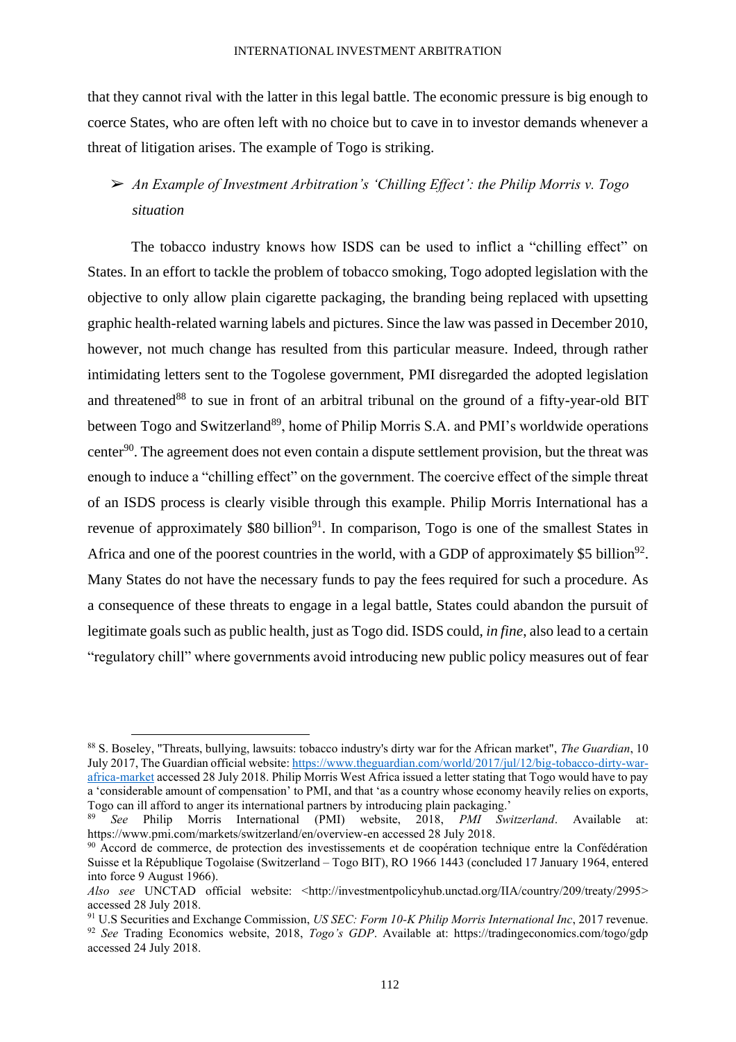that they cannot rival with the latter in this legal battle. The economic pressure is big enough to coerce States, who are often left with no choice but to cave in to investor demands whenever a threat of litigation arises. The example of Togo is striking.

# ➢ *An Example of Investment Arbitration's 'Chilling Effect': the Philip Morris v. Togo situation*

The tobacco industry knows how ISDS can be used to inflict a "chilling effect" on States. In an effort to tackle the problem of tobacco smoking, Togo adopted legislation with the objective to only allow plain cigarette packaging, the branding being replaced with upsetting graphic health-related warning labels and pictures. Since the law was passed in December 2010, however, not much change has resulted from this particular measure. Indeed, through rather intimidating letters sent to the Togolese government, PMI disregarded the adopted legislation and threatened<sup>88</sup> to sue in front of an arbitral tribunal on the ground of a fifty-year-old BIT between Togo and Switzerland<sup>89</sup>, home of Philip Morris S.A. and PMI's worldwide operations center<sup>90</sup>. The agreement does not even contain a dispute settlement provision, but the threat was enough to induce a "chilling effect" on the government. The coercive effect of the simple threat of an ISDS process is clearly visible through this example. Philip Morris International has a revenue of approximately  $$80$  billion<sup>91</sup>. In comparison, Togo is one of the smallest States in Africa and one of the poorest countries in the world, with a GDP of approximately \$5 billion<sup>92</sup>. Many States do not have the necessary funds to pay the fees required for such a procedure. As a consequence of these threats to engage in a legal battle, States could abandon the pursuit of legitimate goals such as public health, just as Togo did. ISDS could, *in fine*, also lead to a certain "regulatory chill" where governments avoid introducing new public policy measures out of fear

<sup>88</sup> S. Boseley, "Threats, bullying, lawsuits: tobacco industry's dirty war for the African market", *The Guardian*, 10 July 2017, The Guardian official website[: https://www.theguardian.com/world/2017/jul/12/big-tobacco-dirty-war](https://www.theguardian.com/world/2017/jul/12/big-tobacco-dirty-war-africa-market)[africa-market](https://www.theguardian.com/world/2017/jul/12/big-tobacco-dirty-war-africa-market) accessed 28 July 2018. Philip Morris West Africa issued a letter stating that Togo would have to pay a 'considerable amount of compensation' to PMI, and that 'as a country whose economy heavily relies on exports, Togo can ill afford to anger its international partners by introducing plain packaging.'

<sup>8</sup>ee Philip Morris International (PMI) website, 2018, *PMI Switzerland*. Available https://www.pmi.com/markets/switzerland/en/overview-en accessed 28 July 2018.

<sup>90</sup> Accord de commerce, de protection des investissements et de coopération technique entre la Confédération Suisse et la République Togolaise (Switzerland – Togo BIT), RO 1966 1443 (concluded 17 January 1964, entered into force 9 August 1966).

*Also see* UNCTAD official website: [<http://investmentpolicyhub.unctad.org/IIA/country/209/treaty/2995>](http://investmentpolicyhub.unctad.org/IIA/country/209/treaty/2995) accessed 28 July 2018.

<sup>91</sup> U.S Securities and Exchange Commission, *US SEC: Form 10-K Philip Morris International Inc*, 2017 revenue. <sup>92</sup> *See* Trading Economics website, 2018, *Togo's GDP*. Available at: https://tradingeconomics.com/togo/gdp accessed 24 July 2018.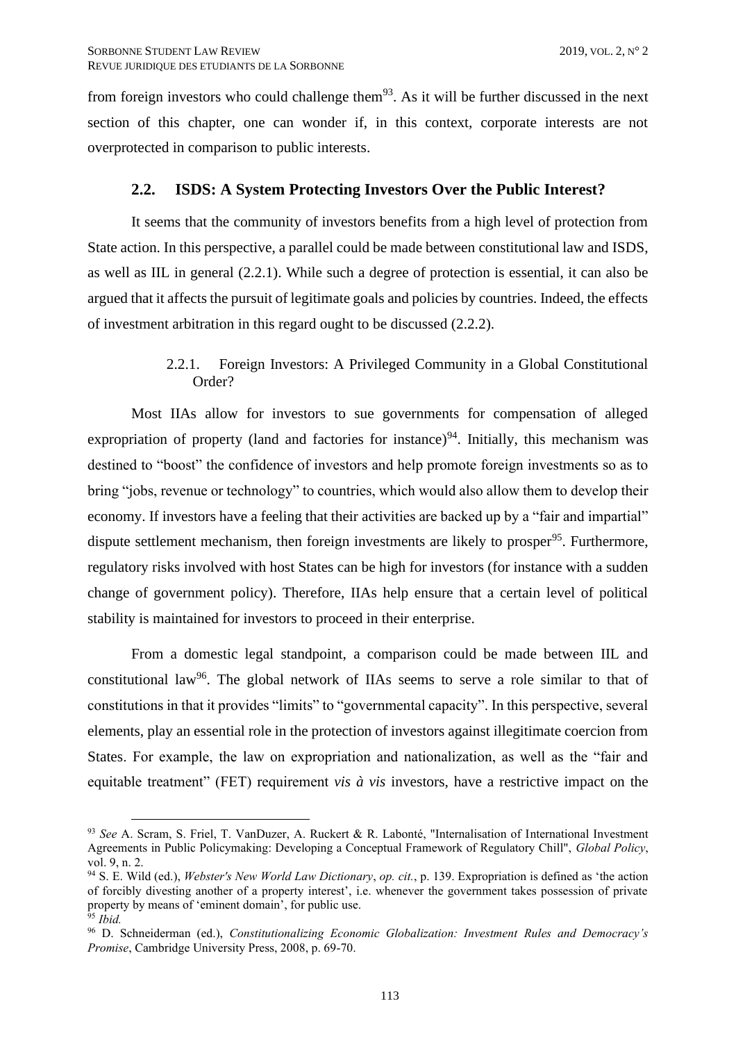from foreign investors who could challenge them<sup>93</sup>. As it will be further discussed in the next section of this chapter, one can wonder if, in this context, corporate interests are not overprotected in comparison to public interests.

# **2.2. ISDS: A System Protecting Investors Over the Public Interest?**

<span id="page-20-0"></span>It seems that the community of investors benefits from a high level of protection from State action. In this perspective, a parallel could be made between constitutional law and ISDS, as well as IIL in general (2.2.1). While such a degree of protection is essential, it can also be argued that it affects the pursuit of legitimate goals and policies by countries. Indeed, the effects of investment arbitration in this regard ought to be discussed (2.2.2).

# 2.2.1. Foreign Investors: A Privileged Community in a Global Constitutional Order?

<span id="page-20-1"></span>Most IIAs allow for investors to sue governments for compensation of alleged expropriation of property (land and factories for instance)<sup>94</sup>. Initially, this mechanism was destined to "boost" the confidence of investors and help promote foreign investments so as to bring "jobs, revenue or technology" to countries, which would also allow them to develop their economy. If investors have a feeling that their activities are backed up by a "fair and impartial" dispute settlement mechanism, then foreign investments are likely to prosper<sup>95</sup>. Furthermore, regulatory risks involved with host States can be high for investors (for instance with a sudden change of government policy). Therefore, IIAs help ensure that a certain level of political stability is maintained for investors to proceed in their enterprise.

From a domestic legal standpoint, a comparison could be made between IIL and constitutional law<sup>96</sup>. The global network of IIAs seems to serve a role similar to that of constitutions in that it provides "limits" to "governmental capacity". In this perspective, several elements, play an essential role in the protection of investors against illegitimate coercion from States. For example, the law on expropriation and nationalization, as well as the "fair and equitable treatment" (FET) requirement *vis à vis* investors, have a restrictive impact on the

<sup>93</sup> *See* A. Scram, S. Friel, T. VanDuzer, A. Ruckert & R. Labonté, "Internalisation of International Investment Agreements in Public Policymaking: Developing a Conceptual Framework of Regulatory Chill", *Global Policy*, vol. 9, n. 2.

<sup>94</sup> S. E. Wild (ed.), *Webster's New World Law Dictionary*, *op. cit.*, p. 139. Expropriation is defined as 'the action of forcibly divesting another of a property interest', i.e. whenever the government takes possession of private property by means of 'eminent domain', for public use.

<sup>95</sup> *Ibid.*

<sup>96</sup> D. Schneiderman (ed.), *Constitutionalizing Economic Globalization: Investment Rules and Democracy's Promise*, Cambridge University Press, 2008, p. 69-70.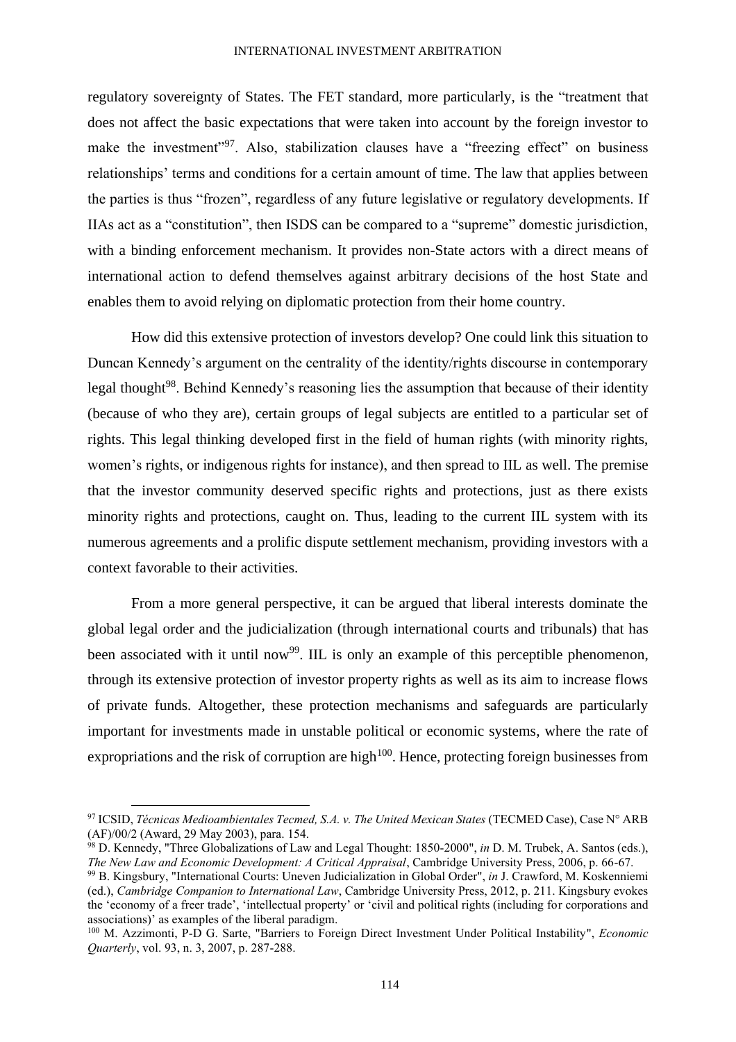#### INTERNATIONAL INVESTMENT ARBITRATION

regulatory sovereignty of States. The FET standard, more particularly, is the "treatment that does not affect the basic expectations that were taken into account by the foreign investor to make the investment"<sup>97</sup>. Also, stabilization clauses have a "freezing effect" on business relationships' terms and conditions for a certain amount of time. The law that applies between the parties is thus "frozen", regardless of any future legislative or regulatory developments. If IIAs act as a "constitution", then ISDS can be compared to a "supreme" domestic jurisdiction, with a binding enforcement mechanism. It provides non-State actors with a direct means of international action to defend themselves against arbitrary decisions of the host State and enables them to avoid relying on diplomatic protection from their home country.

How did this extensive protection of investors develop? One could link this situation to Duncan Kennedy's argument on the centrality of the identity/rights discourse in contemporary legal thought<sup>98</sup>. Behind Kennedy's reasoning lies the assumption that because of their identity (because of who they are), certain groups of legal subjects are entitled to a particular set of rights. This legal thinking developed first in the field of human rights (with minority rights, women's rights, or indigenous rights for instance), and then spread to IIL as well. The premise that the investor community deserved specific rights and protections, just as there exists minority rights and protections, caught on. Thus, leading to the current IIL system with its numerous agreements and a prolific dispute settlement mechanism, providing investors with a context favorable to their activities.

From a more general perspective, it can be argued that liberal interests dominate the global legal order and the judicialization (through international courts and tribunals) that has been associated with it until now<sup>99</sup>. IIL is only an example of this perceptible phenomenon, through its extensive protection of investor property rights as well as its aim to increase flows of private funds. Altogether, these protection mechanisms and safeguards are particularly important for investments made in unstable political or economic systems, where the rate of expropriations and the risk of corruption are high $100$ . Hence, protecting foreign businesses from

<sup>97</sup> ICSID, *Técnicas Medioambientales Tecmed, S.A. v. The United Mexican States* (TECMED Case), Case N° ARB (AF)/00/2 (Award, 29 May 2003), para. 154.

<sup>98</sup> D. Kennedy, "Three Globalizations of Law and Legal Thought: 1850-2000", *in* D. M. Trubek, A. Santos (eds.), *The New Law and Economic Development: A Critical Appraisal*, Cambridge University Press, 2006, p. 66-67.

<sup>99</sup> B. Kingsbury, "International Courts: Uneven Judicialization in Global Order", *in* J. Crawford, M. Koskenniemi (ed.), *Cambridge Companion to International Law*, Cambridge University Press, 2012, p. 211. Kingsbury evokes the 'economy of a freer trade', 'intellectual property' or 'civil and political rights (including for corporations and associations)' as examples of the liberal paradigm.

<sup>100</sup> M. Azzimonti, P-D G. Sarte, "Barriers to Foreign Direct Investment Under Political Instability", *Economic Quarterly*, vol. 93, n. 3, 2007, p. 287-288.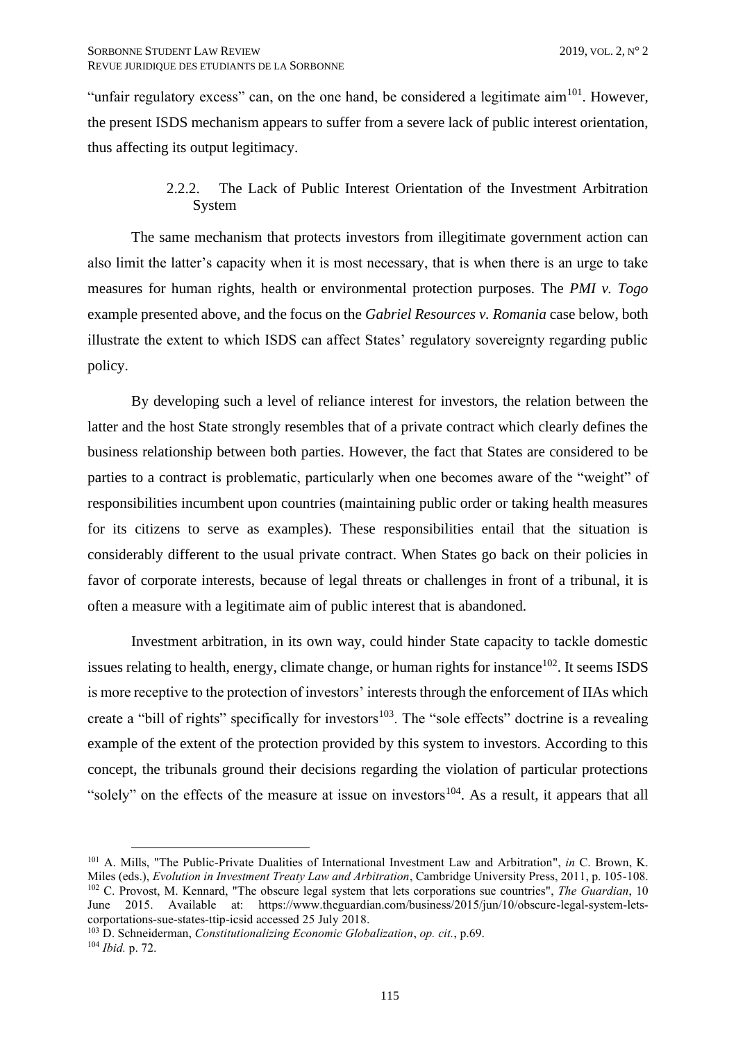"unfair regulatory excess" can, on the one hand, be considered a legitimate aim<sup>101</sup>. However, the present ISDS mechanism appears to suffer from a severe lack of public interest orientation, thus affecting its output legitimacy.

# 2.2.2. The Lack of Public Interest Orientation of the Investment Arbitration System

<span id="page-22-0"></span>The same mechanism that protects investors from illegitimate government action can also limit the latter's capacity when it is most necessary, that is when there is an urge to take measures for human rights, health or environmental protection purposes. The *PMI v. Togo* example presented above, and the focus on the *Gabriel Resources v. Romania* case below, both illustrate the extent to which ISDS can affect States' regulatory sovereignty regarding public policy.

By developing such a level of reliance interest for investors, the relation between the latter and the host State strongly resembles that of a private contract which clearly defines the business relationship between both parties. However, the fact that States are considered to be parties to a contract is problematic, particularly when one becomes aware of the "weight" of responsibilities incumbent upon countries (maintaining public order or taking health measures for its citizens to serve as examples). These responsibilities entail that the situation is considerably different to the usual private contract. When States go back on their policies in favor of corporate interests, because of legal threats or challenges in front of a tribunal, it is often a measure with a legitimate aim of public interest that is abandoned.

Investment arbitration, in its own way, could hinder State capacity to tackle domestic issues relating to health, energy, climate change, or human rights for instance<sup>102</sup>. It seems ISDS is more receptive to the protection of investors' interests through the enforcement of IIAs which create a "bill of rights" specifically for investors<sup>103</sup>. The "sole effects" doctrine is a revealing example of the extent of the protection provided by this system to investors. According to this concept, the tribunals ground their decisions regarding the violation of particular protections "solely" on the effects of the measure at issue on investors<sup>104</sup>. As a result, it appears that all

<sup>101</sup> A. Mills, "The Public-Private Dualities of International Investment Law and Arbitration", *in* C. Brown, K. Miles (eds.), *Evolution in Investment Treaty Law and Arbitration*, Cambridge University Press, 2011, p. 105-108. <sup>102</sup> C. Provost, M. Kennard, "The obscure legal system that lets corporations sue countries", *The Guardian*, 10 June 2015. Available at: [https://www.theguardian.com/business/2015/jun/10/obscure-legal-system-lets](https://www.theguardian.com/business/2015/jun/10/obscure-legal-system-lets-corportations-sue-states-ttip-icsid)[corportations-sue-states-ttip-icsid](https://www.theguardian.com/business/2015/jun/10/obscure-legal-system-lets-corportations-sue-states-ttip-icsid) accessed 25 July 2018.

<sup>103</sup> D. Schneiderman, *Constitutionalizing Economic Globalization*, *op. cit.*, p.69. <sup>104</sup> *Ibid.* p. 72.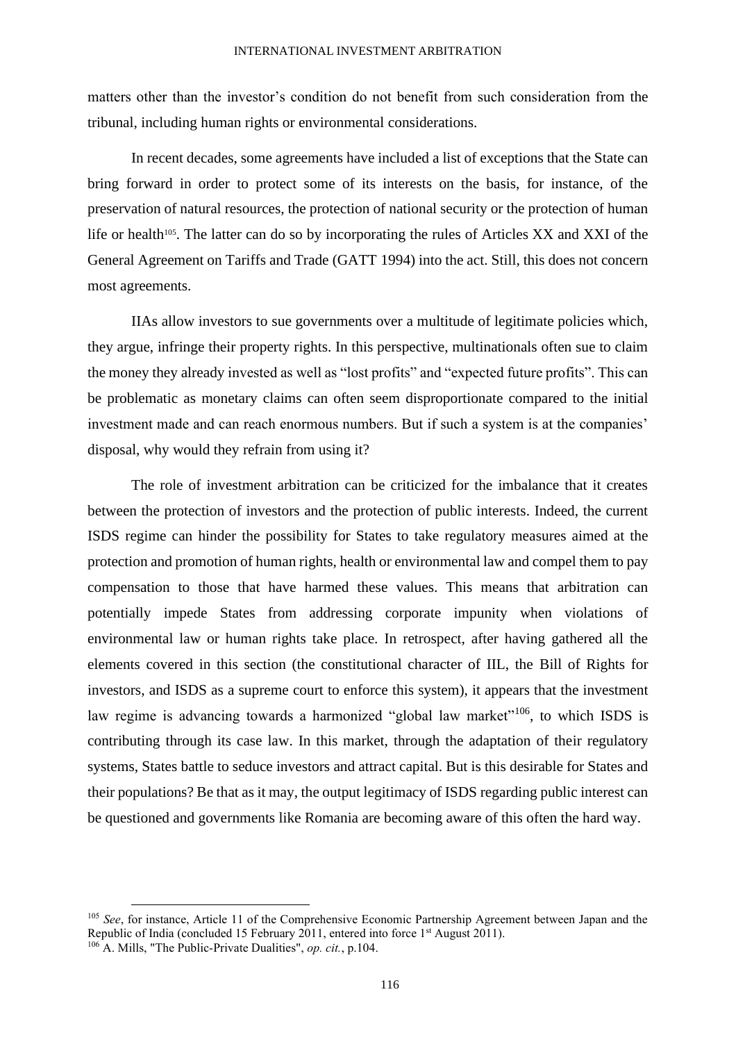matters other than the investor's condition do not benefit from such consideration from the tribunal, including human rights or environmental considerations.

In recent decades, some agreements have included a list of exceptions that the State can bring forward in order to protect some of its interests on the basis, for instance, of the preservation of natural resources, the protection of national security or the protection of human life or health<sup>105</sup>. The latter can do so by incorporating the rules of Articles XX and XXI of the General Agreement on Tariffs and Trade (GATT 1994) into the act. Still, this does not concern most agreements.

IIAs allow investors to sue governments over a multitude of legitimate policies which, they argue, infringe their property rights. In this perspective, multinationals often sue to claim the money they already invested as well as "lost profits" and "expected future profits". This can be problematic as monetary claims can often seem disproportionate compared to the initial investment made and can reach enormous numbers. But if such a system is at the companies' disposal, why would they refrain from using it?

The role of investment arbitration can be criticized for the imbalance that it creates between the protection of investors and the protection of public interests. Indeed, the current ISDS regime can hinder the possibility for States to take regulatory measures aimed at the protection and promotion of human rights, health or environmental law and compel them to pay compensation to those that have harmed these values. This means that arbitration can potentially impede States from addressing corporate impunity when violations of environmental law or human rights take place. In retrospect, after having gathered all the elements covered in this section (the constitutional character of IIL, the Bill of Rights for investors, and ISDS as a supreme court to enforce this system), it appears that the investment law regime is advancing towards a harmonized "global law market"<sup>106</sup>, to which ISDS is contributing through its case law. In this market, through the adaptation of their regulatory systems, States battle to seduce investors and attract capital. But is this desirable for States and their populations? Be that as it may, the output legitimacy of ISDS regarding public interest can be questioned and governments like Romania are becoming aware of this often the hard way.

<sup>&</sup>lt;sup>105</sup> *See*, for instance, Article 11 of the Comprehensive Economic Partnership Agreement between Japan and the Republic of India (concluded 15 February 2011, entered into force 1<sup>st</sup> August 2011). <sup>106</sup> A. Mills, "The Public-Private Dualities", *op. cit.*, p.104.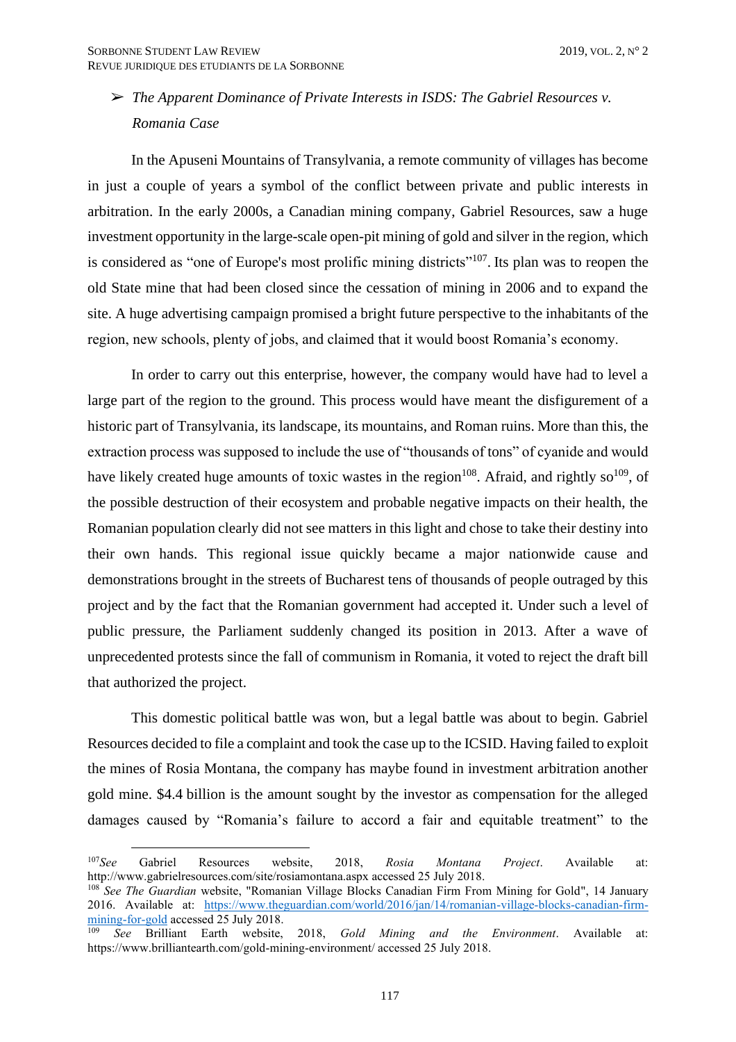# ➢ *The Apparent Dominance of Private Interests in ISDS: The Gabriel Resources v. Romania Case*

In the Apuseni Mountains of Transylvania, a remote community of villages has become in just a couple of years a symbol of the conflict between private and public interests in arbitration. In the early 2000s, a Canadian mining company, Gabriel Resources, saw a huge investment opportunity in the large-scale open-pit mining of gold and silver in the region, which is considered as "one of Europe's most prolific mining districts"<sup>107</sup>. Its plan was to reopen the old State mine that had been closed since the cessation of mining in 2006 and to expand the site. A huge advertising campaign promised a bright future perspective to the inhabitants of the region, new schools, plenty of jobs, and claimed that it would boost Romania's economy.

In order to carry out this enterprise, however, the company would have had to level a large part of the region to the ground. This process would have meant the disfigurement of a historic part of Transylvania, its landscape, its mountains, and Roman ruins. More than this, the extraction process was supposed to include the use of "thousands of tons" of cyanide and would have likely created huge amounts of toxic wastes in the region<sup>108</sup>. Afraid, and rightly so<sup>109</sup>, of the possible destruction of their ecosystem and probable negative impacts on their health, the Romanian population clearly did not see matters in this light and chose to take their destiny into their own hands. This regional issue quickly became a major nationwide cause and demonstrations brought in the streets of Bucharest tens of thousands of people outraged by this project and by the fact that the Romanian government had accepted it. Under such a level of public pressure, the Parliament suddenly changed its position in 2013. After a wave of unprecedented protests since the fall of communism in Romania, it voted to reject the draft bill that authorized the project.

This domestic political battle was won, but a legal battle was about to begin. Gabriel Resources decided to file a complaint and took the case up to the ICSID. Having failed to exploit the mines of Rosia Montana, the company has maybe found in investment arbitration another gold mine. \$4.4 billion is the amount sought by the investor as compensation for the alleged damages caused by "Romania's failure to accord a fair and equitable treatment" to the

<sup>107</sup>*See* Gabriel Resources website, 2018, *Rosia Montana Project*. Available at: http://www.gabrielresources.com/site/rosiamontana.aspx accessed 25 July 2018.

<sup>108</sup> *See The Guardian* website, "Romanian Village Blocks Canadian Firm From Mining for Gold", 14 January 2016. Available at: [https://www.theguardian.com/world/2016/jan/14/romanian-village-blocks-canadian-firm](https://www.theguardian.com/world/2016/jan/14/romanian-village-blocks-canadian-firm-mining-for-gold)[mining-for-gold](https://www.theguardian.com/world/2016/jan/14/romanian-village-blocks-canadian-firm-mining-for-gold) accessed 25 July 2018.

<sup>109</sup> *See* Brilliant Earth website, 2018, *Gold Mining and the Environment*. Available at: https://www.brilliantearth.com/gold-mining-environment/ accessed 25 July 2018.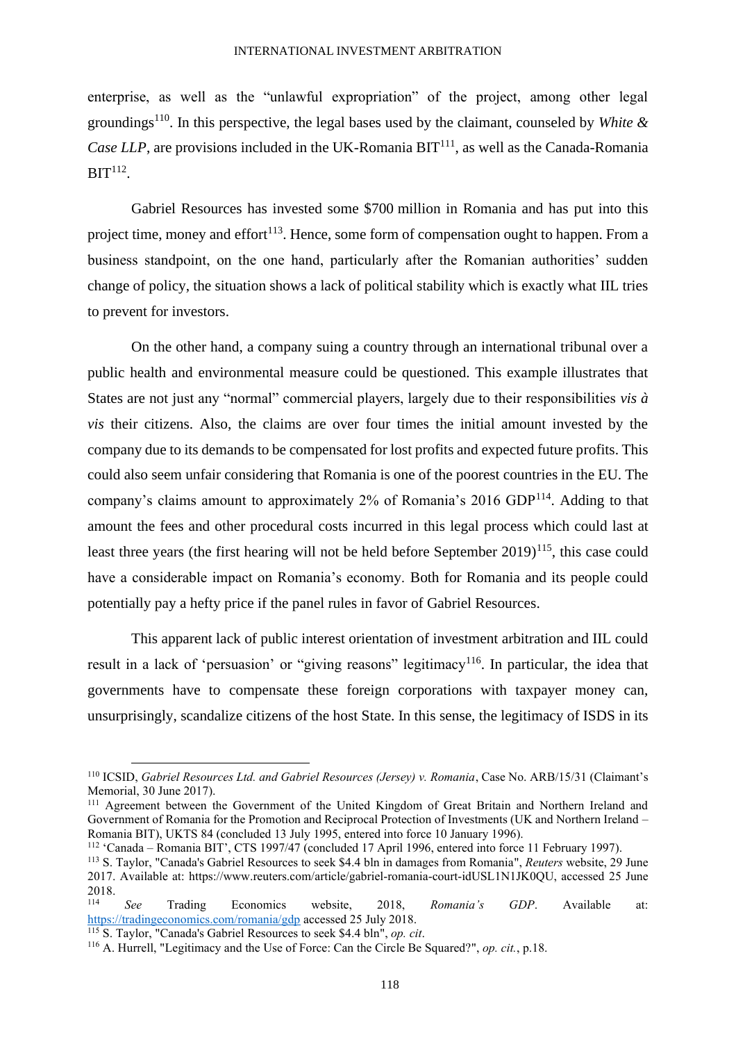#### INTERNATIONAL INVESTMENT ARBITRATION

enterprise, as well as the "unlawful expropriation" of the project, among other legal groundings<sup>110</sup>. In this perspective, the legal bases used by the claimant, counseled by *White & Case LLP*, are provisions included in the UK-Romania  $BIT<sup>111</sup>$ , as well as the Canada-Romania  $\text{BIT}^{112}$ .

Gabriel Resources has invested some \$700 million in Romania and has put into this project time, money and effort<sup>113</sup>. Hence, some form of compensation ought to happen. From a business standpoint, on the one hand, particularly after the Romanian authorities' sudden change of policy, the situation shows a lack of political stability which is exactly what IIL tries to prevent for investors.

On the other hand, a company suing a country through an international tribunal over a public health and environmental measure could be questioned. This example illustrates that States are not just any "normal" commercial players, largely due to their responsibilities *vis à vis* their citizens. Also, the claims are over four times the initial amount invested by the company due to its demands to be compensated for lost profits and expected future profits. This could also seem unfair considering that Romania is one of the poorest countries in the EU. The company's claims amount to approximately 2% of Romania's 2016 GDP<sup>114</sup>. Adding to that amount the fees and other procedural costs incurred in this legal process which could last at least three years (the first hearing will not be held before September  $2019$ )<sup>115</sup>, this case could have a considerable impact on Romania's economy. Both for Romania and its people could potentially pay a hefty price if the panel rules in favor of Gabriel Resources.

This apparent lack of public interest orientation of investment arbitration and IIL could result in a lack of 'persuasion' or "giving reasons" legitimacy<sup>116</sup>. In particular, the idea that governments have to compensate these foreign corporations with taxpayer money can, unsurprisingly, scandalize citizens of the host State. In this sense, the legitimacy of ISDS in its

<sup>110</sup> ICSID, *Gabriel Resources Ltd. and Gabriel Resources (Jersey) v. Romania*, Case No. ARB/15/31 (Claimant's Memorial, 30 June 2017).

<sup>&</sup>lt;sup>111</sup> Agreement between the Government of the United Kingdom of Great Britain and Northern Ireland and Government of Romania for the Promotion and Reciprocal Protection of Investments (UK and Northern Ireland – Romania BIT), UKTS 84 (concluded 13 July 1995, entered into force 10 January 1996).

<sup>112</sup> 'Canada – Romania BIT', CTS 1997/47 (concluded 17 April 1996, entered into force 11 February 1997).

<sup>113</sup> S. Taylor, "Canada's Gabriel Resources to seek \$4.4 bln in damages from Romania", *Reuters* website, 29 June 2017. Available at: https://www.reuters.com/article/gabriel-romania-court-idUSL1N1JK0QU, accessed 25 June  $2018.$ 

<sup>114</sup> *See* Trading Economics website, 2018, *Romania's GDP*. Available at: <https://tradingeconomics.com/romania/gdp> accessed 25 July 2018.

<sup>115</sup> S. Taylor, "Canada's Gabriel Resources to seek \$4.4 bln", *op. cit*.

<sup>116</sup> A. Hurrell, "Legitimacy and the Use of Force: Can the Circle Be Squared?", *op. cit.*, p.18.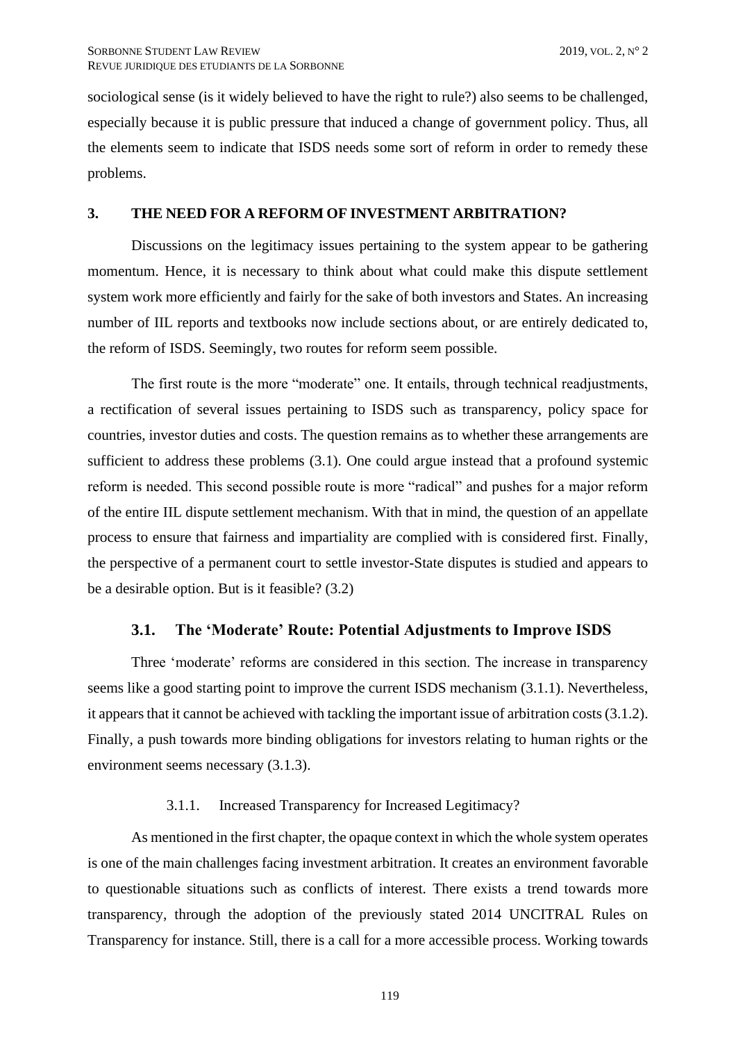sociological sense (is it widely believed to have the right to rule?) also seems to be challenged, especially because it is public pressure that induced a change of government policy. Thus, all the elements seem to indicate that ISDS needs some sort of reform in order to remedy these problems.

## <span id="page-26-0"></span>**3. THE NEED FOR A REFORM OF INVESTMENT ARBITRATION?**

Discussions on the legitimacy issues pertaining to the system appear to be gathering momentum. Hence, it is necessary to think about what could make this dispute settlement system work more efficiently and fairly for the sake of both investors and States. An increasing number of IIL reports and textbooks now include sections about, or are entirely dedicated to, the reform of ISDS. Seemingly, two routes for reform seem possible.

The first route is the more "moderate" one. It entails, through technical readjustments, a rectification of several issues pertaining to ISDS such as transparency, policy space for countries, investor duties and costs. The question remains as to whether these arrangements are sufficient to address these problems (3.1). One could argue instead that a profound systemic reform is needed. This second possible route is more "radical" and pushes for a major reform of the entire IIL dispute settlement mechanism. With that in mind, the question of an appellate process to ensure that fairness and impartiality are complied with is considered first. Finally, the perspective of a permanent court to settle investor-State disputes is studied and appears to be a desirable option. But is it feasible? (3.2)

#### **3.1. The 'Moderate' Route: Potential Adjustments to Improve ISDS**

<span id="page-26-1"></span>Three 'moderate' reforms are considered in this section. The increase in transparency seems like a good starting point to improve the current ISDS mechanism (3.1.1). Nevertheless, it appears that it cannot be achieved with tackling the important issue of arbitration costs (3.1.2). Finally, a push towards more binding obligations for investors relating to human rights or the environment seems necessary (3.1.3).

#### 3.1.1. Increased Transparency for Increased Legitimacy?

<span id="page-26-2"></span>As mentioned in the first chapter, the opaque context in which the whole system operates is one of the main challenges facing investment arbitration. It creates an environment favorable to questionable situations such as conflicts of interest. There exists a trend towards more transparency, through the adoption of the previously stated 2014 UNCITRAL Rules on Transparency for instance. Still, there is a call for a more accessible process. Working towards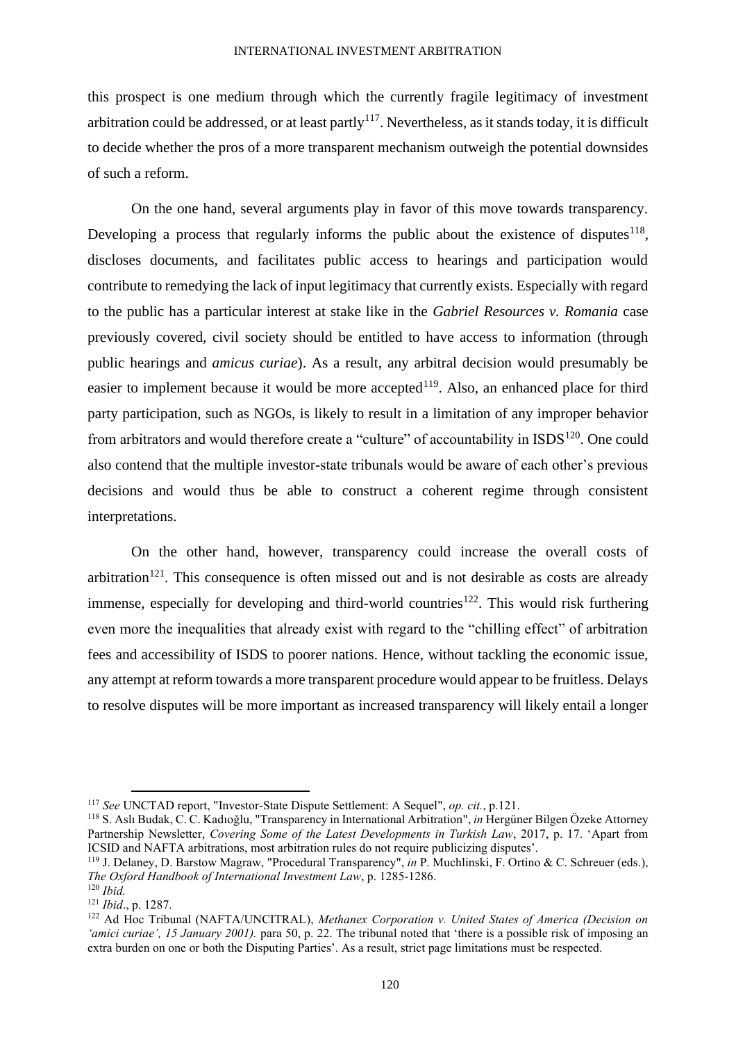this prospect is one medium through which the currently fragile legitimacy of investment arbitration could be addressed, or at least partly<sup>117</sup>. Nevertheless, as it stands today, it is difficult to decide whether the pros of a more transparent mechanism outweigh the potential downsides of such a reform.

On the one hand, several arguments play in favor of this move towards transparency. Developing a process that regularly informs the public about the existence of disputes $118$ , discloses documents, and facilitates public access to hearings and participation would contribute to remedying the lack of input legitimacy that currently exists. Especially with regard to the public has a particular interest at stake like in the *Gabriel Resources v. Romania* case previously covered, civil society should be entitled to have access to information (through public hearings and *amicus curiae*). As a result, any arbitral decision would presumably be easier to implement because it would be more accepted<sup>119</sup>. Also, an enhanced place for third party participation, such as NGOs, is likely to result in a limitation of any improper behavior from arbitrators and would therefore create a "culture" of accountability in ISDS<sup>120</sup>. One could also contend that the multiple investor-state tribunals would be aware of each other's previous decisions and would thus be able to construct a coherent regime through consistent interpretations.

On the other hand, however, transparency could increase the overall costs of arbitration<sup>121</sup>. This consequence is often missed out and is not desirable as costs are already immense, especially for developing and third-world countries<sup>122</sup>. This would risk furthering even more the inequalities that already exist with regard to the "chilling effect" of arbitration fees and accessibility of ISDS to poorer nations. Hence, without tackling the economic issue, any attempt at reform towards a more transparent procedure would appear to be fruitless. Delays to resolve disputes will be more important as increased transparency will likely entail a longer

<sup>117</sup> *See* UNCTAD report, "Investor-State Dispute Settlement: A Sequel", *op. cit.*, p.121.

<sup>118</sup> S. Aslı Budak, C. C. Kadıoğlu, "Transparency in International Arbitration", *in* Hergüner Bilgen Özeke Attorney Partnership Newsletter, *Covering Some of the Latest Developments in Turkish Law*, 2017, p. 17. 'Apart from ICSID and NAFTA arbitrations, most arbitration rules do not require publicizing disputes'.

<sup>119</sup> J. Delaney, D. Barstow Magraw, "Procedural Transparency", *in* P. Muchlinski, F. Ortino & C. Schreuer (eds.), *The Oxford Handbook of International Investment Law*, p. 1285-1286.  $120$  *Ibid.* 

<sup>121</sup> *Ibid*., p. 1287.

<sup>122</sup> Ad Hoc Tribunal (NAFTA/UNCITRAL), *Methanex Corporation v. United States of America (Decision on 'amici curiae', 15 January 2001).* para 50, p. 22. The tribunal noted that 'there is a possible risk of imposing an extra burden on one or both the Disputing Parties'. As a result, strict page limitations must be respected.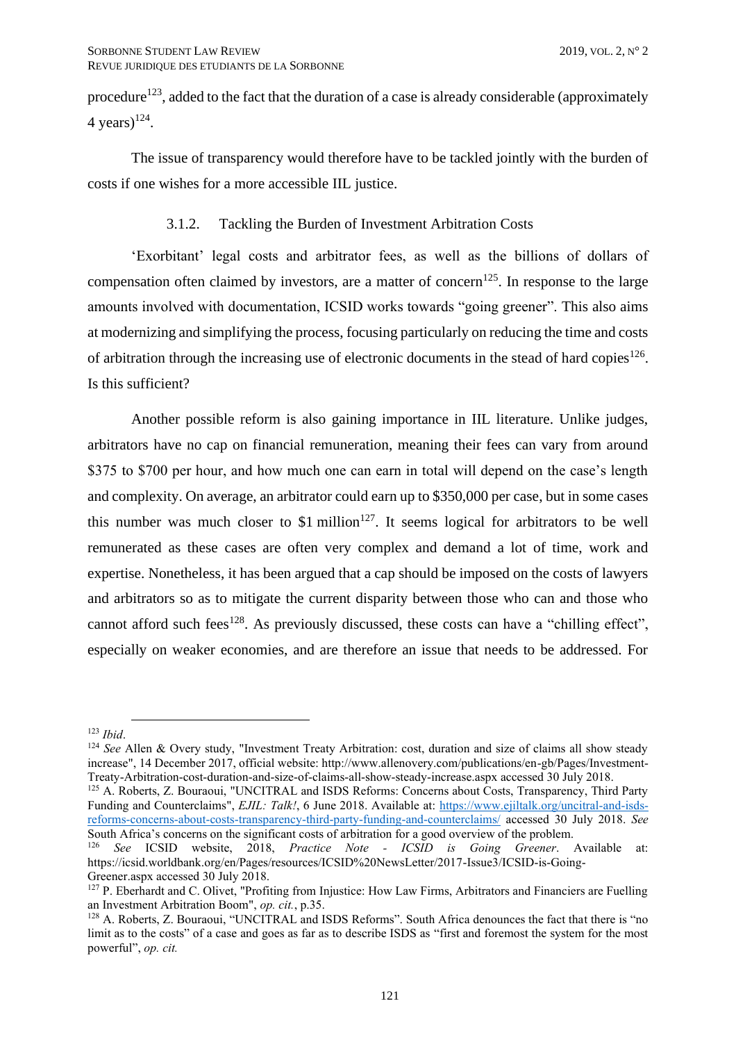procedure<sup>123</sup>, added to the fact that the duration of a case is already considerable (approximately 4 years)<sup>124</sup>.

The issue of transparency would therefore have to be tackled jointly with the burden of costs if one wishes for a more accessible IIL justice.

# 3.1.2. Tackling the Burden of Investment Arbitration Costs

<span id="page-28-0"></span>'Exorbitant' legal costs and arbitrator fees, as well as the billions of dollars of compensation often claimed by investors, are a matter of concern<sup>125</sup>. In response to the large amounts involved with documentation, ICSID works towards "going greener". This also aims at modernizing and simplifying the process, focusing particularly on reducing the time and costs of arbitration through the increasing use of electronic documents in the stead of hard copies<sup>126</sup>. Is this sufficient?

Another possible reform is also gaining importance in IIL literature. Unlike judges, arbitrators have no cap on financial remuneration, meaning their fees can vary from around \$375 to \$700 per hour, and how much one can earn in total will depend on the case's length and complexity. On average, an arbitrator could earn up to \$350,000 per case, but in some cases this number was much closer to \$1 million<sup>127</sup>. It seems logical for arbitrators to be well remunerated as these cases are often very complex and demand a lot of time, work and expertise. Nonetheless, it has been argued that a cap should be imposed on the costs of lawyers and arbitrators so as to mitigate the current disparity between those who can and those who cannot afford such fees<sup>128</sup>. As previously discussed, these costs can have a "chilling effect", especially on weaker economies, and are therefore an issue that needs to be addressed. For

<sup>123</sup> *Ibid*.

<sup>&</sup>lt;sup>124</sup> See Allen & Overy study, "Investment Treaty Arbitration: cost, duration and size of claims all show steady increase", 14 December 2017, official website: http://www.allenovery.com/publications/en-gb/Pages/Investment-Treaty-Arbitration-cost-duration-and-size-of-claims-all-show-steady-increase.aspx accessed 30 July 2018.

<sup>&</sup>lt;sup>125</sup> A. Roberts, Z. Bouraoui, "UNCITRAL and ISDS Reforms: Concerns about Costs, Transparency, Third Party Funding and Counterclaims", *EJIL: Talk!*, 6 June 2018. Available at: [https://www.ejiltalk.org/uncitral-and-isds](https://www.ejiltalk.org/uncitral-and-isds-reforms-concerns-about-costs-transparency-third-party-funding-and-counterclaims/)[reforms-concerns-about-costs-transparency-third-party-funding-and-counterclaims/](https://www.ejiltalk.org/uncitral-and-isds-reforms-concerns-about-costs-transparency-third-party-funding-and-counterclaims/) accessed 30 July 2018. *See*  South Africa's concerns on the significant costs of arbitration for a good overview of the problem.

<sup>126</sup> *See* ICSID website, 2018, *Practice Note - ICSID is Going Greener*. Available at: https://icsid.worldbank.org/en/Pages/resources/ICSID%20NewsLetter/2017-Issue3/ICSID-is-Going-Greener.aspx accessed 30 July 2018.

<sup>&</sup>lt;sup>127</sup> P. Eberhardt and C. Olivet, "Profiting from Injustice: How Law Firms, Arbitrators and Financiers are Fuelling an Investment Arbitration Boom", *op. cit.*, p.35.

<sup>128</sup> A. Roberts, Z. Bouraoui, "UNCITRAL and ISDS Reforms". South Africa denounces the fact that there is "no limit as to the costs" of a case and goes as far as to describe ISDS as "first and foremost the system for the most powerful", *op. cit.*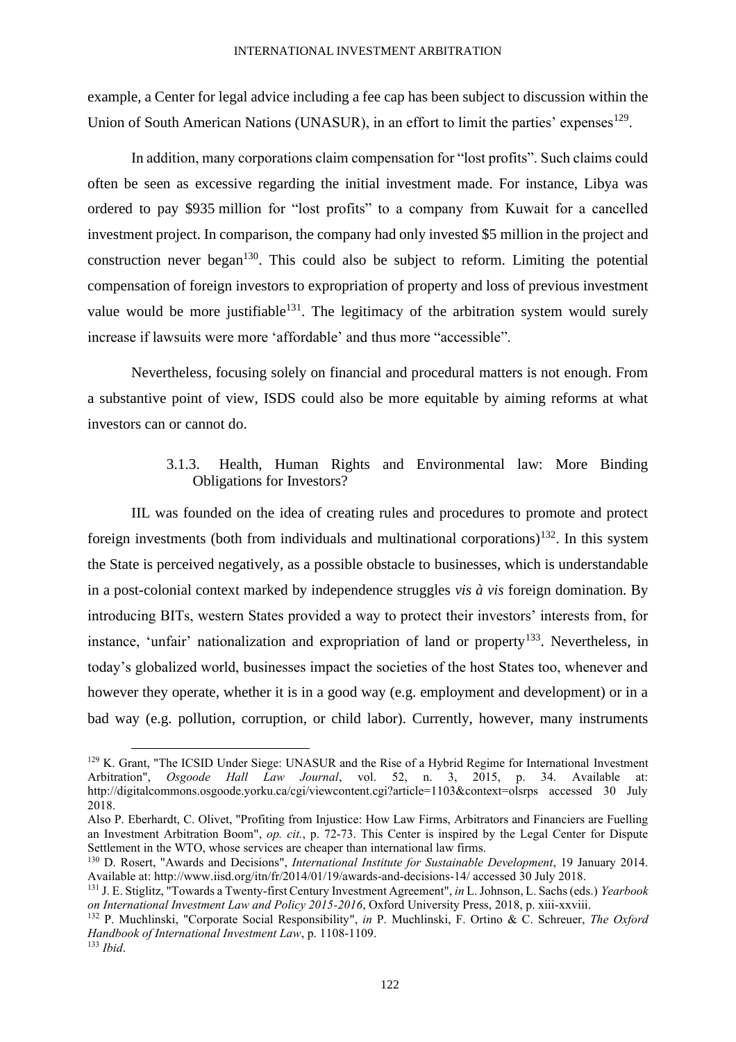example, a Center for legal advice including a fee cap has been subject to discussion within the Union of South American Nations (UNASUR), in an effort to limit the parties' expenses<sup>129</sup>.

In addition, many corporations claim compensation for "lost profits". Such claims could often be seen as excessive regarding the initial investment made. For instance, Libya was ordered to pay \$935 million for "lost profits" to a company from Kuwait for a cancelled investment project. In comparison, the company had only invested \$5 million in the project and construction never began<sup>130</sup>. This could also be subject to reform. Limiting the potential compensation of foreign investors to expropriation of property and loss of previous investment value would be more justifiable<sup>131</sup>. The legitimacy of the arbitration system would surely increase if lawsuits were more 'affordable' and thus more "accessible".

Nevertheless, focusing solely on financial and procedural matters is not enough. From a substantive point of view, ISDS could also be more equitable by aiming reforms at what investors can or cannot do.

# 3.1.3. Health, Human Rights and Environmental law: More Binding Obligations for Investors?

<span id="page-29-0"></span>IIL was founded on the idea of creating rules and procedures to promote and protect foreign investments (both from individuals and multinational corporations)<sup>132</sup>. In this system the State is perceived negatively, as a possible obstacle to businesses, which is understandable in a post-colonial context marked by independence struggles *vis à vis* foreign domination. By introducing BITs, western States provided a way to protect their investors' interests from, for instance, 'unfair' nationalization and expropriation of land or property<sup>133</sup>. Nevertheless, in today's globalized world, businesses impact the societies of the host States too, whenever and however they operate, whether it is in a good way (e.g. employment and development) or in a bad way (e.g. pollution, corruption, or child labor). Currently, however, many instruments

<sup>129</sup> K. Grant, "The ICSID Under Siege: UNASUR and the Rise of a Hybrid Regime for International Investment Arbitration", *Osgoode Hall Law Journal*, vol. 52, n. 3, 2015, p. 34. Available at: http://digitalcommons.osgoode.yorku.ca/cgi/viewcontent.cgi?article=1103&context=olsrps accessed 30 July 2018.

Also P. Eberhardt, C. Olivet, "Profiting from Injustice: How Law Firms, Arbitrators and Financiers are Fuelling an Investment Arbitration Boom", *op. cit.*, p. 72-73. This Center is inspired by the Legal Center for Dispute Settlement in the WTO, whose services are cheaper than international law firms.

<sup>130</sup> D. Rosert, "Awards and Decisions", *International Institute for Sustainable Development*, 19 January 2014. Available at: http://www.iisd.org/itn/fr/2014/01/19/awards-and-decisions-14/ accessed 30 July 2018.

<sup>131</sup> J. E. Stiglitz, "Towards a Twenty-first Century Investment Agreement", *in* L. Johnson, L. Sachs (eds.) *Yearbook on International Investment Law and Policy 2015-2016*, Oxford University Press, 2018, p. xiii-xxviii.

<sup>132</sup> P. Muchlinski, "Corporate Social Responsibility", *in* P. Muchlinski, F. Ortino & C. Schreuer, *The Oxford Handbook of International Investment Law*, p. 1108-1109.

<sup>133</sup> *Ibid*.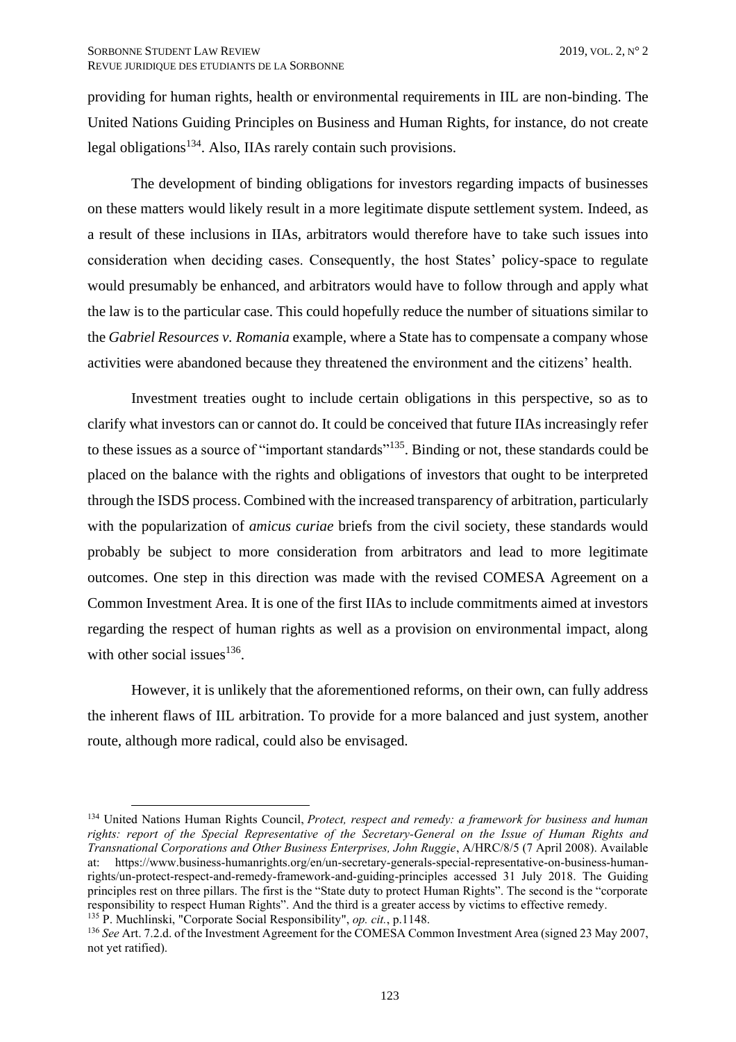providing for human rights, health or environmental requirements in IIL are non-binding. The United Nations Guiding Principles on Business and Human Rights, for instance, do not create legal obligations<sup>134</sup>. Also, IIAs rarely contain such provisions.

The development of binding obligations for investors regarding impacts of businesses on these matters would likely result in a more legitimate dispute settlement system. Indeed, as a result of these inclusions in IIAs, arbitrators would therefore have to take such issues into consideration when deciding cases. Consequently, the host States' policy-space to regulate would presumably be enhanced, and arbitrators would have to follow through and apply what the law is to the particular case. This could hopefully reduce the number of situations similar to the *Gabriel Resources v. Romania* example, where a State has to compensate a company whose activities were abandoned because they threatened the environment and the citizens' health.

Investment treaties ought to include certain obligations in this perspective, so as to clarify what investors can or cannot do. It could be conceived that future IIAs increasingly refer to these issues as a source of "important standards"<sup>135</sup>. Binding or not, these standards could be placed on the balance with the rights and obligations of investors that ought to be interpreted through the ISDS process. Combined with the increased transparency of arbitration, particularly with the popularization of *amicus curiae* briefs from the civil society, these standards would probably be subject to more consideration from arbitrators and lead to more legitimate outcomes. One step in this direction was made with the revised COMESA Agreement on a Common Investment Area. It is one of the first IIAs to include commitments aimed at investors regarding the respect of human rights as well as a provision on environmental impact, along with other social issues $^{136}$ .

However, it is unlikely that the aforementioned reforms, on their own, can fully address the inherent flaws of IIL arbitration. To provide for a more balanced and just system, another route, although more radical, could also be envisaged.

<sup>134</sup> United Nations Human Rights Council, *Protect, respect and remedy: a framework for business and human rights: report of the Special Representative of the Secretary-General on the Issue of Human Rights and Transnational Corporations and Other Business Enterprises, John Ruggie*, A/HRC/8/5 (7 April 2008). Available at: https://www.business-humanrights.org/en/un-secretary-generals-special-representative-on-business-humanrights/un-protect-respect-and-remedy-framework-and-guiding-principles accessed 31 July 2018. The Guiding principles rest on three pillars. The first is the "State duty to protect Human Rights". The second is the "corporate responsibility to respect Human Rights". And the third is a greater access by victims to effective remedy.

<sup>135</sup> P. Muchlinski, "Corporate Social Responsibility", *op. cit.*, p.1148.

<sup>136</sup> *See* Art. 7.2.d. of the Investment Agreement for the COMESA Common Investment Area (signed 23 May 2007, not yet ratified).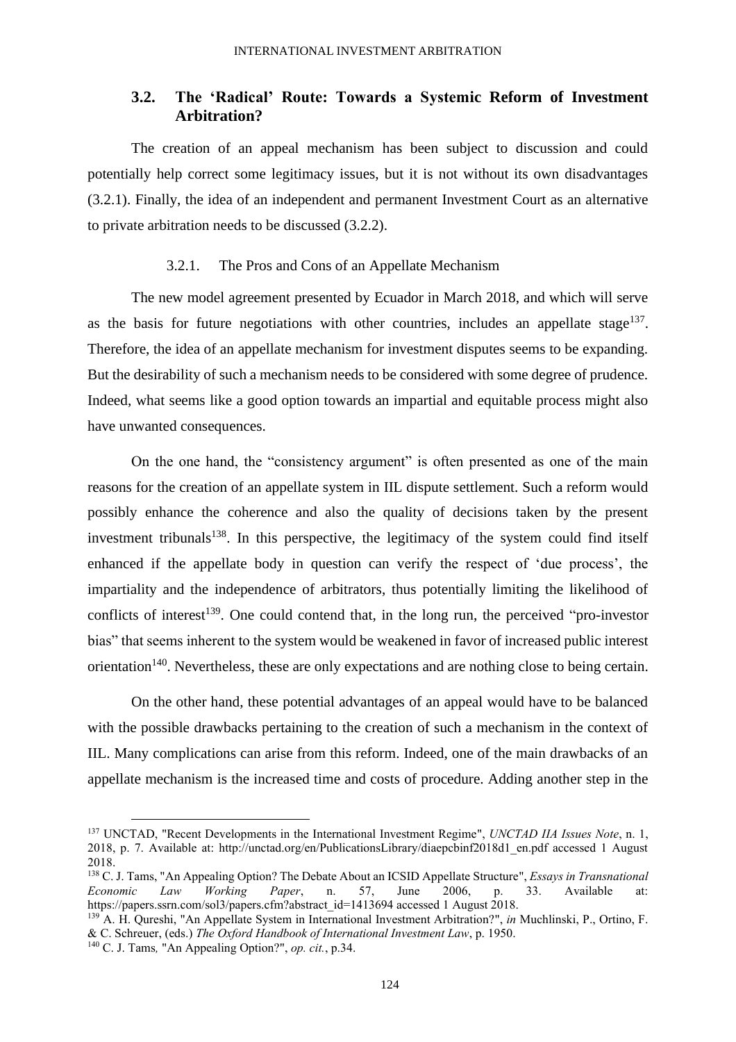# <span id="page-31-0"></span>**3.2. The 'Radical' Route: Towards a Systemic Reform of Investment Arbitration?**

The creation of an appeal mechanism has been subject to discussion and could potentially help correct some legitimacy issues, but it is not without its own disadvantages (3.2.1). Finally, the idea of an independent and permanent Investment Court as an alternative to private arbitration needs to be discussed (3.2.2).

## 3.2.1. The Pros and Cons of an Appellate Mechanism

<span id="page-31-1"></span>The new model agreement presented by Ecuador in March 2018, and which will serve as the basis for future negotiations with other countries, includes an appellate stage<sup>137</sup>. Therefore, the idea of an appellate mechanism for investment disputes seems to be expanding. But the desirability of such a mechanism needs to be considered with some degree of prudence. Indeed, what seems like a good option towards an impartial and equitable process might also have unwanted consequences.

On the one hand, the "consistency argument" is often presented as one of the main reasons for the creation of an appellate system in IIL dispute settlement. Such a reform would possibly enhance the coherence and also the quality of decisions taken by the present investment tribunals<sup>138</sup>. In this perspective, the legitimacy of the system could find itself enhanced if the appellate body in question can verify the respect of 'due process', the impartiality and the independence of arbitrators, thus potentially limiting the likelihood of conflicts of interest<sup>139</sup>. One could contend that, in the long run, the perceived "pro-investor" bias" that seems inherent to the system would be weakened in favor of increased public interest orientation<sup>140</sup>. Nevertheless, these are only expectations and are nothing close to being certain.

On the other hand, these potential advantages of an appeal would have to be balanced with the possible drawbacks pertaining to the creation of such a mechanism in the context of IIL. Many complications can arise from this reform. Indeed, one of the main drawbacks of an appellate mechanism is the increased time and costs of procedure. Adding another step in the

<sup>137</sup> UNCTAD, "Recent Developments in the International Investment Regime", *UNCTAD IIA Issues Note*, n. 1, 2018, p. 7. Available at: http://unctad.org/en/PublicationsLibrary/diaepcbinf2018d1\_en.pdf accessed 1 August 2018.

<sup>138</sup> C. J. Tams, "An Appealing Option? The Debate About an ICSID Appellate Structure", *Essays in Transnational Economic Law Working Paper*, n. 57, June 2006, p. 33. Available at: https://papers.ssrn.com/sol3/papers.cfm?abstract\_id=1413694 accessed 1 August 2018.

<sup>139</sup> A. H. Qureshi, "An Appellate System in International Investment Arbitration?", *in* Muchlinski, P., Ortino, F. & C. Schreuer, (eds.) *The Oxford Handbook of International Investment Law*, p. 1950.

<sup>140</sup> C. J. Tams*,* "An Appealing Option?", *op. cit.*, p.34.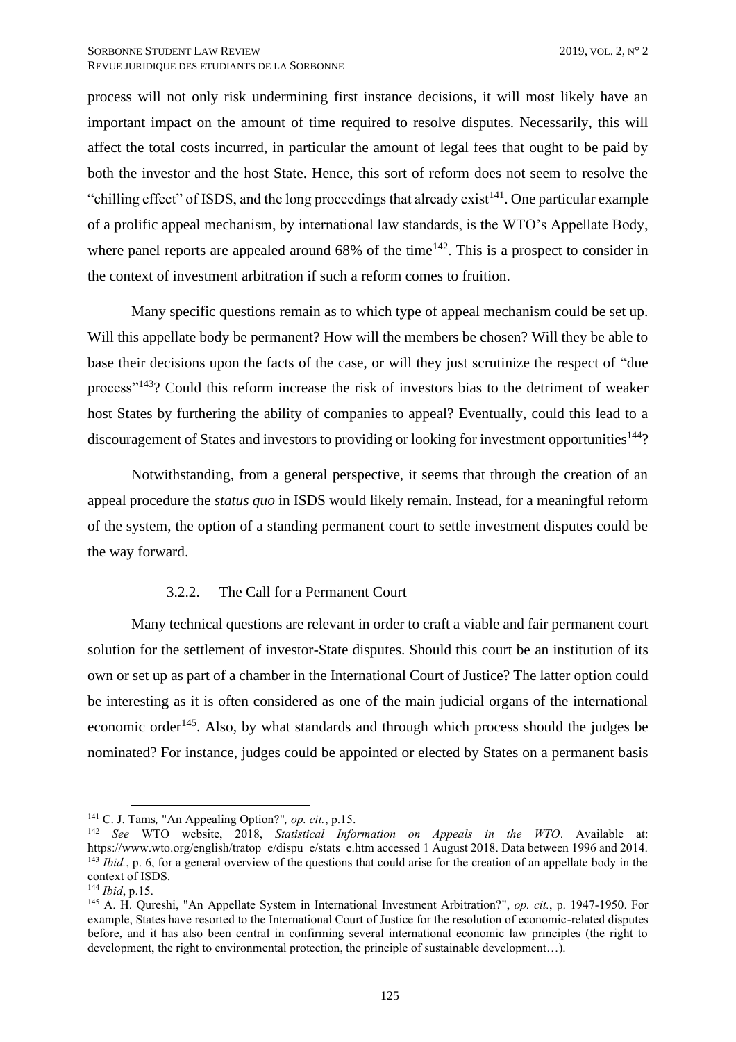process will not only risk undermining first instance decisions, it will most likely have an important impact on the amount of time required to resolve disputes. Necessarily, this will affect the total costs incurred, in particular the amount of legal fees that ought to be paid by both the investor and the host State. Hence, this sort of reform does not seem to resolve the "chilling effect" of ISDS, and the long proceedings that already exist $141$ . One particular example of a prolific appeal mechanism, by international law standards, is the WTO's Appellate Body, where panel reports are appealed around  $68\%$  of the time<sup>142</sup>. This is a prospect to consider in the context of investment arbitration if such a reform comes to fruition.

Many specific questions remain as to which type of appeal mechanism could be set up. Will this appellate body be permanent? How will the members be chosen? Will they be able to base their decisions upon the facts of the case, or will they just scrutinize the respect of "due process"<sup>143</sup>? Could this reform increase the risk of investors bias to the detriment of weaker host States by furthering the ability of companies to appeal? Eventually, could this lead to a discouragement of States and investors to providing or looking for investment opportunities<sup>144</sup>?

Notwithstanding, from a general perspective, it seems that through the creation of an appeal procedure the *status quo* in ISDS would likely remain. Instead, for a meaningful reform of the system, the option of a standing permanent court to settle investment disputes could be the way forward.

## 3.2.2. The Call for a Permanent Court

<span id="page-32-0"></span>Many technical questions are relevant in order to craft a viable and fair permanent court solution for the settlement of investor-State disputes. Should this court be an institution of its own or set up as part of a chamber in the International Court of Justice? The latter option could be interesting as it is often considered as one of the main judicial organs of the international economic order<sup>145</sup>. Also, by what standards and through which process should the judges be nominated? For instance, judges could be appointed or elected by States on a permanent basis

<sup>141</sup> C. J. Tams*,* "An Appealing Option?"*, op. cit.*, p.15.

<sup>142</sup> *See* WTO website, 2018, *Statistical Information on Appeals in the WTO*. Available at: https://www.wto.org/english/tratop\_e/dispu\_e/stats\_e.htm accessed 1 August 2018. Data between 1996 and 2014. <sup>143</sup> *Ibid.*, p. 6, for a general overview of the questions that could arise for the creation of an appellate body in the context of ISDS.

<sup>144</sup> *Ibid*, p.15.

<sup>145</sup> A. H. Qureshi, "An Appellate System in International Investment Arbitration?", *op. cit.*, p. 1947-1950. For example, States have resorted to the International Court of Justice for the resolution of economic-related disputes before, and it has also been central in confirming several international economic law principles (the right to development, the right to environmental protection, the principle of sustainable development…).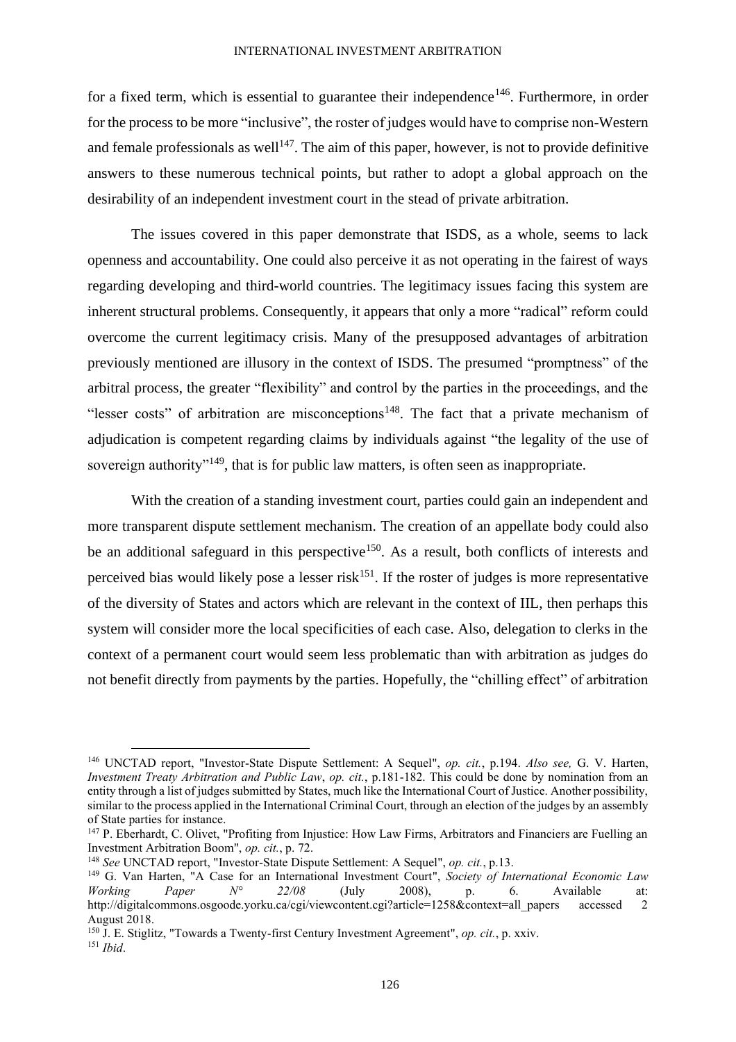#### INTERNATIONAL INVESTMENT ARBITRATION

for a fixed term, which is essential to guarantee their independence<sup>146</sup>. Furthermore, in order for the process to be more "inclusive", the roster of judges would have to comprise non-Western and female professionals as well<sup>147</sup>. The aim of this paper, however, is not to provide definitive answers to these numerous technical points, but rather to adopt a global approach on the desirability of an independent investment court in the stead of private arbitration.

The issues covered in this paper demonstrate that ISDS, as a whole, seems to lack openness and accountability. One could also perceive it as not operating in the fairest of ways regarding developing and third-world countries. The legitimacy issues facing this system are inherent structural problems. Consequently, it appears that only a more "radical" reform could overcome the current legitimacy crisis. Many of the presupposed advantages of arbitration previously mentioned are illusory in the context of ISDS. The presumed "promptness" of the arbitral process, the greater "flexibility" and control by the parties in the proceedings, and the "lesser costs" of arbitration are misconceptions<sup>148</sup>. The fact that a private mechanism of adjudication is competent regarding claims by individuals against "the legality of the use of sovereign authority<sup>"149</sup>, that is for public law matters, is often seen as inappropriate.

With the creation of a standing investment court, parties could gain an independent and more transparent dispute settlement mechanism. The creation of an appellate body could also be an additional safeguard in this perspective<sup>150</sup>. As a result, both conflicts of interests and perceived bias would likely pose a lesser risk $151$ . If the roster of judges is more representative of the diversity of States and actors which are relevant in the context of IIL, then perhaps this system will consider more the local specificities of each case. Also, delegation to clerks in the context of a permanent court would seem less problematic than with arbitration as judges do not benefit directly from payments by the parties. Hopefully, the "chilling effect" of arbitration

<sup>146</sup> UNCTAD report, "Investor-State Dispute Settlement: A Sequel", *op. cit.*, p.194. *Also see,* G. V. Harten, *Investment Treaty Arbitration and Public Law*, *op. cit.*, p.181-182. This could be done by nomination from an entity through a list of judges submitted by States, much like the International Court of Justice. Another possibility, similar to the process applied in the International Criminal Court, through an election of the judges by an assembly of State parties for instance.

<sup>&</sup>lt;sup>147</sup> P. Eberhardt, C. Olivet, "Profiting from Injustice: How Law Firms, Arbitrators and Financiers are Fuelling an Investment Arbitration Boom", *op. cit.*, p. 72.

<sup>148</sup> *See* UNCTAD report, "Investor-State Dispute Settlement: A Sequel", *op. cit.*, p.13.

<sup>&</sup>lt;sup>149</sup> G. Van Harten, "A Case for an International Investment Court", *Society of International Economic Law Working* Paper  $N^{\circ}$  22/08 (July 2008), p. 6. Available at: *Working Paper N° 22/08* (July 2008), p. 6. Available at: http://digitalcommons.osgoode.yorku.ca/cgi/viewcontent.cgi?article=1258&context=all\_papers accessed 2 August 2018.

<sup>150</sup> J. E. Stiglitz, "Towards a Twenty-first Century Investment Agreement", *op. cit.*, p. xxiv.

<sup>151</sup> *Ibid*.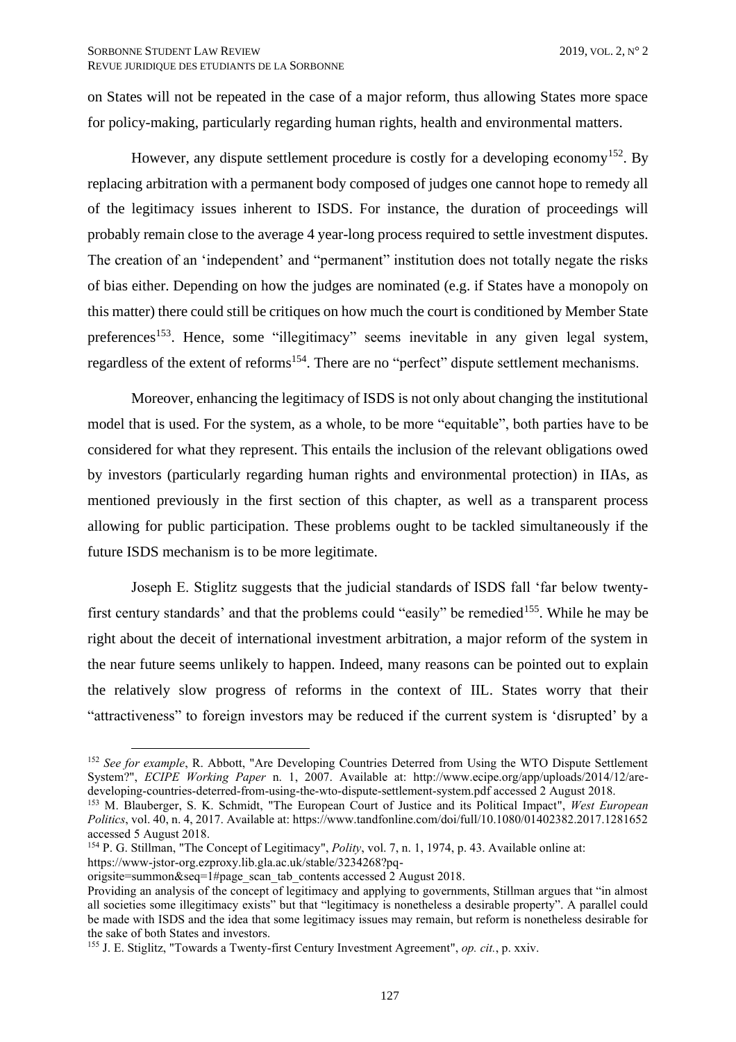on States will not be repeated in the case of a major reform, thus allowing States more space for policy-making, particularly regarding human rights, health and environmental matters.

However, any dispute settlement procedure is costly for a developing economy<sup>152</sup>. By replacing arbitration with a permanent body composed of judges one cannot hope to remedy all of the legitimacy issues inherent to ISDS. For instance, the duration of proceedings will probably remain close to the average 4 year-long process required to settle investment disputes. The creation of an 'independent' and "permanent" institution does not totally negate the risks of bias either. Depending on how the judges are nominated (e.g. if States have a monopoly on this matter) there could still be critiques on how much the court is conditioned by Member State preferences<sup>153</sup>. Hence, some "illegitimacy" seems inevitable in any given legal system, regardless of the extent of reforms<sup>154</sup>. There are no "perfect" dispute settlement mechanisms.

Moreover, enhancing the legitimacy of ISDS is not only about changing the institutional model that is used. For the system, as a whole, to be more "equitable", both parties have to be considered for what they represent. This entails the inclusion of the relevant obligations owed by investors (particularly regarding human rights and environmental protection) in IIAs, as mentioned previously in the first section of this chapter, as well as a transparent process allowing for public participation. These problems ought to be tackled simultaneously if the future ISDS mechanism is to be more legitimate.

Joseph E. Stiglitz suggests that the judicial standards of ISDS fall 'far below twentyfirst century standards' and that the problems could "easily" be remedied<sup>155</sup>. While he may be right about the deceit of international investment arbitration, a major reform of the system in the near future seems unlikely to happen. Indeed, many reasons can be pointed out to explain the relatively slow progress of reforms in the context of IIL. States worry that their "attractiveness" to foreign investors may be reduced if the current system is 'disrupted' by a

<sup>&</sup>lt;sup>152</sup> See for example, R. Abbott, "Are Developing Countries Deterred from Using the WTO Dispute Settlement System?", *ECIPE Working Paper* n. 1, 2007. Available at: http://www.ecipe.org/app/uploads/2014/12/aredeveloping-countries-deterred-from-using-the-wto-dispute-settlement-system.pdf accessed 2 August 2018.

<sup>153</sup> M. Blauberger, S. K. Schmidt, "The European Court of Justice and its Political Impact", *West European Politics*, vol. 40, n. 4, 2017. Available at: https://www.tandfonline.com/doi/full/10.1080/01402382.2017.1281652 accessed 5 August 2018.

<sup>154</sup> P. G. Stillman, "The Concept of Legitimacy", *Polity*, vol. 7, n. 1, 1974, p. 43. Available online at: https://www-jstor-org.ezproxy.lib.gla.ac.uk/stable/3234268?pq-

origsite=summon&seq=1#page\_scan\_tab\_contents accessed 2 August 2018.

Providing an analysis of the concept of legitimacy and applying to governments, Stillman argues that "in almost all societies some illegitimacy exists" but that "legitimacy is nonetheless a desirable property". A parallel could be made with ISDS and the idea that some legitimacy issues may remain, but reform is nonetheless desirable for the sake of both States and investors.

<sup>155</sup> J. E. Stiglitz, "Towards a Twenty-first Century Investment Agreement", *op. cit.*, p. xxiv.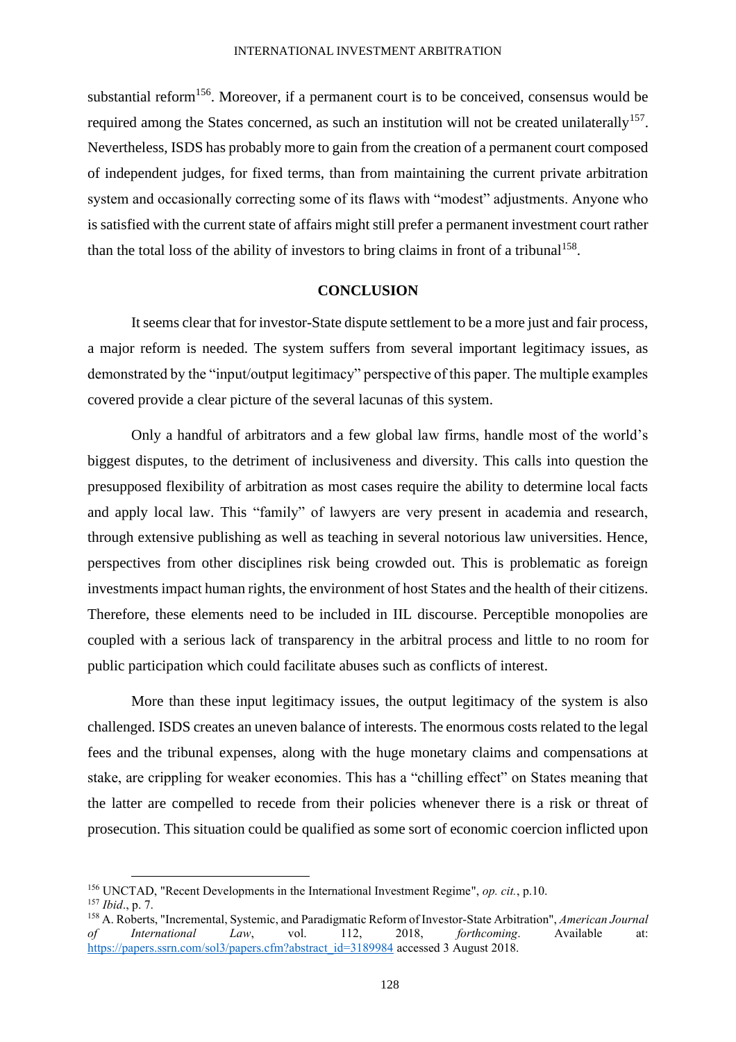substantial reform<sup>156</sup>. Moreover, if a permanent court is to be conceived, consensus would be required among the States concerned, as such an institution will not be created unilaterally<sup>157</sup>. Nevertheless, ISDS has probably more to gain from the creation of a permanent court composed of independent judges, for fixed terms, than from maintaining the current private arbitration system and occasionally correcting some of its flaws with "modest" adjustments. Anyone who is satisfied with the current state of affairs might still prefer a permanent investment court rather than the total loss of the ability of investors to bring claims in front of a tribunal<sup>158</sup>.

## **CONCLUSION**

<span id="page-35-0"></span>It seems clear that for investor-State dispute settlement to be a more just and fair process, a major reform is needed. The system suffers from several important legitimacy issues, as demonstrated by the "input/output legitimacy" perspective of this paper. The multiple examples covered provide a clear picture of the several lacunas of this system.

Only a handful of arbitrators and a few global law firms, handle most of the world's biggest disputes, to the detriment of inclusiveness and diversity. This calls into question the presupposed flexibility of arbitration as most cases require the ability to determine local facts and apply local law. This "family" of lawyers are very present in academia and research, through extensive publishing as well as teaching in several notorious law universities. Hence, perspectives from other disciplines risk being crowded out. This is problematic as foreign investments impact human rights, the environment of host States and the health of their citizens. Therefore, these elements need to be included in IIL discourse. Perceptible monopolies are coupled with a serious lack of transparency in the arbitral process and little to no room for public participation which could facilitate abuses such as conflicts of interest.

More than these input legitimacy issues, the output legitimacy of the system is also challenged. ISDS creates an uneven balance of interests. The enormous costs related to the legal fees and the tribunal expenses, along with the huge monetary claims and compensations at stake, are crippling for weaker economies. This has a "chilling effect" on States meaning that the latter are compelled to recede from their policies whenever there is a risk or threat of prosecution. This situation could be qualified as some sort of economic coercion inflicted upon

<sup>156</sup> UNCTAD, "Recent Developments in the International Investment Regime", *op. cit.*, p.10.

<sup>157</sup> *Ibid*., p. 7.

<sup>158</sup> A. Roberts, "Incremental, Systemic, and Paradigmatic Reform of Investor-State Arbitration", *American Journal of International Law*, vol. 112, 2018, *forthcoming*. Available at: [https://papers.ssrn.com/sol3/papers.cfm?abstract\\_id=3189984](https://papers.ssrn.com/sol3/papers.cfm?abstract_id=3189984) accessed 3 August 2018.